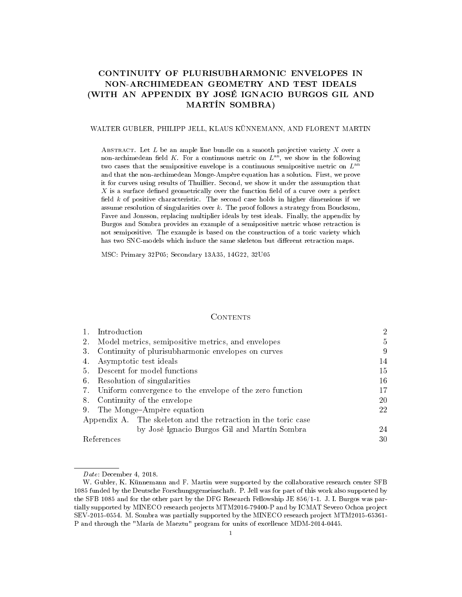# CONTINUITY OF PLURISUBHARMONIC ENVELOPES IN NON-ARCHIMEDEAN GEOMETRY AND TEST IDEALS (WITH AN APPENDIX BY JOSÉ IGNACIO BURGOS GIL AND MARTÍN SOMBRA)

### WALTER GUBLER, PHILIPP JELL, KLAUS KÜNNEMANN, AND FLORENT MARTIN

ABSTRACT. Let  $L$  be an ample line bundle on a smooth projective variety  $X$  over a non-archimedean field K. For a continuous metric on  $L^{an}$ , we show in the following two cases that the semipositive envelope is a continuous semipositive metric on  $L^{\rm an}$ and that the non-archimedean Monge-Ampère equation has a solution. First, we prove it for curves using results of Thuillier. Second, we show it under the assumption that  $X$  is a surface defined geometrically over the function field of a curve over a perfect field  $k$  of positive characteristic. The second case holds in higher dimensions if we assume resolution of singularities over  $k$ . The proof follows a strategy from Boucksom, Favre and Jonsson, replacing multiplier ideals by test ideals. Finally, the appendix by Burgos and Sombra provides an example of a semipositive metric whose retraction is not semipositive. The example is based on the construction of a toric variety which has two SNC-models which induce the same skeleton but different retraction maps.

MSC: Primary 32P05; Secondary 13A35, 14G22, 32U05

#### **CONTENTS**

|            | Introduction                                                  | $\overline{2}$ |
|------------|---------------------------------------------------------------|----------------|
| 2.         | Model metrics, semipositive metrics, and envelopes            | 5              |
| 3.         | Continuity of plurisubharmonic envelopes on curves            | 9              |
| 4.         | Asymptotic test ideals                                        | 14             |
| 5.         | Descent for model functions                                   | 15.            |
| 6.         | Resolution of singularities                                   | 16             |
|            | 7. Uniform convergence to the envelope of the zero function   | 17             |
| 8.         | Continuity of the envelope                                    | 20             |
| 9.         | The Monge-Ampère equation                                     | 22             |
|            | Appendix A. The skeleton and the retraction in the toric case |                |
|            | by José Ignacio Burgos Gil and Martín Sombra                  | 24             |
| References |                                                               | 30             |

Date: December 4, 2018.

W. Gubler, K. Künnemann and F. Martin were supported by the collaborative research center SFB 1085 funded by the Deutsche Forschungsgemeinschaft. P. Jell was for part of this work also supported by the SFB 1085 and for the other part by the DFG Research Fellowship JE 856/1-1. J. I. Burgos was partially supported by MINECO research projects MTM2016-79400-P and by ICMAT Severo Ochoa project SEV-2015-0554. M. Sombra was partially supported by the MINECO research project MTM2015-65361- P and through the "María de Maeztu" program for units of excellence MDM-2014-0445.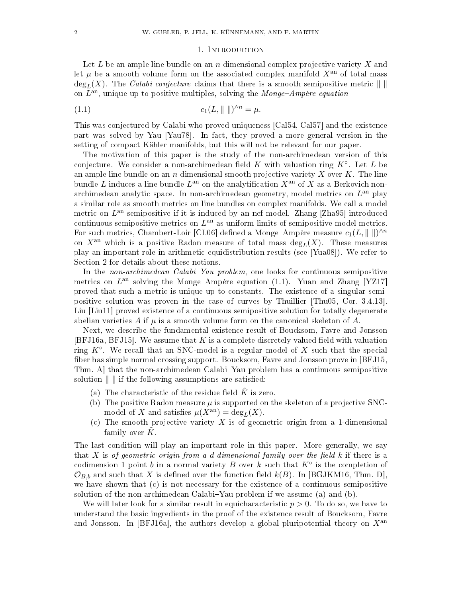#### <span id="page-1-1"></span>1. INTRODUCTION

<span id="page-1-0"></span>Let  $L$  be an ample line bundle on an n-dimensional complex projective variety  $X$  and let  $\mu$  be a smooth volume form on the associated complex manifold  $X<sup>an</sup>$  of total mass  $\deg_L(X)$ . The *Calabi conjecture* claims that there is a smooth semipositive metric  $\| \ \|$ on  $L<sup>an</sup>$ , unique up to positive multiples, solving the Monge-Ampère equation

$$
(1.1) \t\t c_1(L, \|\ \|)^{\wedge n} = \mu.
$$

This was conjectured by Calabi who proved uniqueness [\[Cal54,](#page-29-1) [Cal57\]](#page-29-2) and the existence part was solved by Yau [\[Yau78\]](#page-31-0). In fact, they proved a more general version in the setting of compact Kähler manifolds, but this will not be relevant for our paper.

The motivation of this paper is the study of the non-archimedean version of this conjecture. We consider a non-archimedean field  $K$  with valuation ring  $K^{\circ}$ . Let  $L$  be an ample line bundle on an  $n$ -dimensional smooth projective variety  $X$  over  $K$ . The line bundle L induces a line bundle  $L^{\text{an}}$  on the analytification  $X^{\text{an}}$  of  $X$  as a Berkovich nonarchimedean analytic space. In non-archimedean geometry, model metrics on  $L^{\text{an}}$  play a similar role as smooth metrics on line bundles on complex manifolds. We call a model metric on  $L^{\text{an}}$  semipositive if it is induced by an nef model. Zhang [\[Zha95\]](#page-31-1) introduced continuous semipositive metrics on  $L^{\text{an}}$  as uniform limits of semipositive model metrics. For such metrics, Chambert-Loir [\[CL06\]](#page-29-3) defined a Monge–Ampère measure  $c_1(L,{\|\hspace{1ex}\|})^{\wedge n}$ on  $X^{an}$  which is a positive Radon measure of total mass  $\deg_L(X)$ . These measures play an important role in arithmetic equidistribution results (see [\[Yua08\]](#page-31-2)). We refer to Section [2](#page-4-0) for details about these notions.

In the *non-archimedean Calabi-Yau problem*, one looks for continuous semipositive metrics on  $L^{an}$  solving the Monge-Ampère equation [\(1.1\)](#page-1-1). Yuan and Zhang [\[YZ17\]](#page-31-3) proved that such a metric is unique up to constants. The existence of a singular semipositive solution was proven in the case of curves by Thuillier [\[Thu05,](#page-31-4) Cor. 3.4.13]. Liu [\[Liu11\]](#page-30-0) proved existence of a continuous semipositive solution for totally degenerate abelian varieties A if  $\mu$  is a smooth volume form on the canonical skeleton of A.

Next, we describe the fundamental existence result of Boucksom, Favre and Jonsson  $[BFJ16a, BFJ15]$  $[BFJ16a, BFJ15]$ . We assume that K is a complete discretely valued field with valuation ring  $K^{\circ}$ . We recall that an SNC-model is a regular model of X such that the special ber has simple normal crossing support. Boucksom, Favre and Jonsson prove in [\[BFJ15,](#page-29-5) Thm. A that the non-archimedean Calabi–Yau problem has a continuous semipositive solution  $\| \cdot \|$  if the following assumptions are satisfied:

- (a) The characteristic of the residue field  $\tilde{K}$  is zero.
- (b) The positive Radon measure  $\mu$  is supported on the skeleton of a projective SNCmodel of X and satisfies  $\mu(X^{\text{an}}) = \text{deg}_L(X)$ .
- (c) The smooth projective variety  $X$  is of geometric origin from a 1-dimensional family over  $\tilde{K}$ .

The last condition will play an important role in this paper. More generally, we say that X is of geometric origin from a d-dimensional family over the field  $k$  if there is a codimension 1 point b in a normal variety B over k such that  $K^{\circ}$  is the completion of  $\mathcal{O}_{B,b}$  and such that X is defined over the function field  $k(B)$ . In [\[BGJKM16,](#page-29-6) Thm. D], we have shown that (c) is not necessary for the existence of a continuous semipositive solution of the non-archimedean Calabi–Yau problem if we assume  $(a)$  and  $(b)$ .

We will later look for a similar result in equicharacteristic  $p > 0$ . To do so, we have to understand the basic ingredients in the proof of the existence result of Boucksom, Favre and Jonsson. In [\[BFJ16a\]](#page-29-4), the authors develop a global pluripotential theory on  $X^{\text{an}}$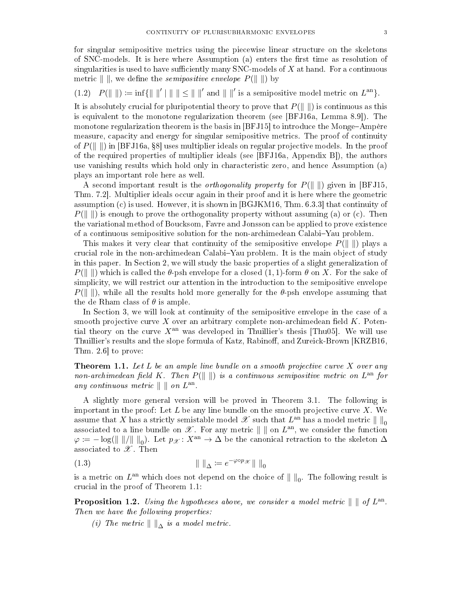for singular semipositive metrics using the piecewise linear structure on the skeletons of SNC-models. It is here where Assumption  $(a)$  enters the first time as resolution of singularities is used to have sufficiently many  $SNC$ -models of X at hand. For a continuous metric  $\| \cdot \|$ , we define the *semipositive envelope*  $P(\| \cdot \|)$  by

<span id="page-2-2"></span>(1.2)  $P(\|\ \|) := \inf \{\|\ \|' \|\ \| \le \|\ \|' \text{ and } \|\ \|' \text{ is a semipositive model metric on } L^{\text{an}}\}.$ 

It is absolutely crucial for pluripotential theory to prove that  $P(\|\cdot\|)$  is continuous as this is equivalent to the monotone regularization theorem (see [\[BFJ16a,](#page-29-4) Lemma 8.9]). The monotone regularization theorem is the basis in  $[BFJ15]$  to introduce the Monge-Ampère measure, capacity and energy for singular semipositive metrics. The proof of continuity of  $P(\Vert \cdot \Vert)$  in [\[BFJ16a,](#page-29-4) §8] uses multiplier ideals on regular projective models. In the proof of the required properties of multiplier ideals (see [\[BFJ16a,](#page-29-4) Appendix B]), the authors use vanishing results which hold only in characteristic zero, and hence Assumption (a) plays an important role here as well.

A second important result is the *orthogonality property* for  $P(|| ||)$  given in [\[BFJ15,](#page-29-5) Thm. 7.2]. Multiplier ideals occur again in their proof and it is here where the geometric assumption (c) is used. However, it is shown in [\[BGJKM16,](#page-29-6) Thm. 6.3.3] that continuity of  $P(\Vert \cdot \Vert)$  is enough to prove the orthogonality property without assuming (a) or (c). Then the variational method of Boucksom, Favre and Jonsson can be applied to prove existence of a continuous semipositive solution for the non-archimedean Calabi-Yau problem.

This makes it very clear that continuity of the semipositive envelope  $P(\Vert \cdot \Vert)$  plays a crucial role in the non-archimedean Calabi–Yau problem. It is the main object of study in this paper. In Section [2,](#page-4-0) we will study the basic properties of a slight generalization of  $P(|| ||)$  which is called the  $\theta$ -psh envelope for a closed (1, 1)-form  $\theta$  on X. For the sake of simplicity, we will restrict our attention in the introduction to the semipositive envelope  $P(|| ||)$ , while all the results hold more generally for the  $\theta$ -psh envelope assuming that the de Rham class of  $\theta$  is ample.

In Section [3,](#page-8-0) we will look at continuity of the semipositive envelope in the case of a smooth projective curve X over an arbitrary complete non-archimedean field  $K$ . Potential theory on the curve  $X<sup>an</sup>$  was developed in Thuillier's thesis [\[Thu05\]](#page-31-4). We will use Thuillier's results and the slope formula of Katz, Rabinoff, and Zureick-Brown [\[KRZB16,](#page-30-1) Thm. 2.6] to prove:

<span id="page-2-0"></span>**Theorem 1.1.** Let  $L$  be an ample line bundle on a smooth projective curve  $X$  over any non-archimedean field K. Then  $P(\|\ \|)$  is a continuous semipositive metric on  $L^{\rm an}$  for any continuous metric  $\parallel \ \parallel on \ L^{\text{an}}$ .

A slightly more general version will be proved in Theorem [3.1.](#page-8-1) The following is important in the proof: Let  $L$  be any line bundle on the smooth projective curve  $X$ . We assume that  $X$  has a strictly semistable model  $\mathscr X$  such that  $L^{\rm an}$  has a model metric  $\|\ \|_0$ associated to a line bundle on  $\mathscr X$ . For any metric  $\|\ \|$  on  $L^{\rm an}$ , we consider the function  $\varphi \coloneqq -\log(\Vert \Vert / \Vert \Vert_0)$ . Let  $p_{\mathscr{X}} \colon X^{\mathrm{an}} \to \Delta$  be the canonical retraction to the skeleton  $\Delta$ associated to  $\mathscr X$ . Then

$$
(1.3) \t\t\t || \t||_{\Delta} := e^{-\varphi \circ p_{\mathscr{X}}} || \t||_0
$$

is a metric on  $L^{\text{an}}$  which does not depend on the choice of  $\|\ \|_0$ . The following result is crucial in the proof of Theorem [1.1:](#page-2-0)

<span id="page-2-1"></span>**Proposition 1.2.** Using the hypotheses above, we consider a model metric  $\| \parallel$  of  $L^{\text{an}}$ . Then we have the following properties:

(i) The metric  $\Vert \ \Vert_{\wedge}$  is a model metric.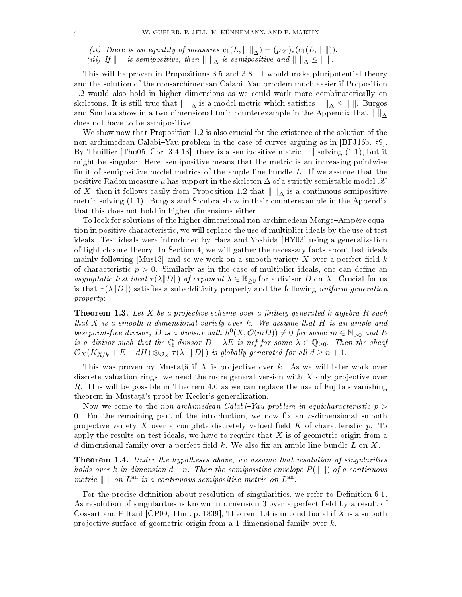- (ii) There is an equality of measures  $c_1(L, \|\ \|_{\Delta}) = (p_{\mathscr{X}})_*(c_1(L, \|\ \|)).$
- (iii) If  $\| \ \|$  is semipositive, then  $\| \ \|_{\Delta}$  is semipositive and  $\| \ \|_{\Delta} \leq \| \ \|$ .

This will be proven in Propositions [3.5](#page-8-2) and [3.8.](#page-9-0) It would make pluripotential theory and the solution of the non-archimedean Calabi-Yau problem much easier if Proposition [1.2](#page-2-1) would also hold in higher dimensions as we could work more combinatorically on skeletons. It is still true that  $\| \cdot \|_{\Delta}$  is a model metric which satisfies  $\| \cdot \|_{\Delta} \leq \| \cdot \|$ . Burgos and Sombra show in a two dimensional toric counterexample in the Appendix that  $\| \cdot \|_{\Delta}$ does not have to be semipositive.

We show now that Proposition [1.2](#page-2-1) is also crucial for the existence of the solution of the non-archimedean Calabi-Yau problem in the case of curves arguing as in  $[BFJ16b, §9]$  $[BFJ16b, §9]$ . By Thuillier [\[Thu05,](#page-31-4) Cor. 3.4.13], there is a semipositive metric  $\| \cdot \|$  solving [\(1.1\)](#page-1-1), but it might be singular. Here, semipositive means that the metric is an increasing pointwise limit of semipositive model metrics of the ample line bundle  $L$ . If we assume that the positive Radon measure  $\mu$  has support in the skeleton  $\Delta$  of a strictly semistable model  $\mathscr X$ of X, then it follows easily from Proposition [1.2](#page-2-1) that  $\| \cdot \|_{\Delta}$  is a continuous semipositive metric solving [\(1.1\)](#page-1-1). Burgos and Sombra show in their counterexample in the Appendix that this does not hold in higher dimensions either.

To look for solutions of the higher dimensional non-archimedean Monge-Ampère equation in positive characteristic, we will replace the use of multiplier ideals by the use of test ideals. Test ideals were introduced by Hara and Yoshida [\[HY03\]](#page-30-2) using a generalization of tight closure theory. In Section [4,](#page-13-0) we will gather the necessary facts about test ideals mainly following Mus13 and so we work on a smooth variety X over a perfect field  $k$ of characteristic  $p > 0$ . Similarly as in the case of multiplier ideals, one can define an asymptotic test ideal  $\tau(\lambda||D||)$  of exponent  $\lambda \in \mathbb{R}_{\geq 0}$  for a divisor D on X. Crucial for us is that  $\tau(\lambda||D||)$  satisfies a subadditivity property and the following uniform generation property:

**Theorem 1.3.** Let X be a projective scheme over a finitely generated k-algebra R such that  $X$  is a smooth n-dimensional variety over  $k$ . We assume that  $H$  is an ample and basepoint-free divisor, D is a divisor with  $h^0(X, \mathcal{O}(mD)) \neq 0$  for some  $m \in \mathbb{N}_{>0}$  and E is a divisor such that the Q-divisor  $D - \lambda E$  is nef for some  $\lambda \in \mathbb{Q}_{\geq 0}$ . Then the sheaf  $\mathcal{O}_X(K_{X/k}+E+dH)\otimes_{\mathcal{O}_X}\tau(\lambda\cdot\Vert D\Vert)$  is globally generated for all  $d\geq n+1.$ 

This was proven by Mustată if X is projective over k. As we will later work over discrete valuation rings, we need the more general version with  $X$  only projective over R. This will be possible in Theorem [4.6](#page-14-1) as we can replace the use of Fujita's vanishing theorem in Mustată's proof by Keeler's generalization.

Now we come to the non-archimedean Calabi-Yau problem in equicharacteristic  $p >$ 0. For the remaining part of the introduction, we now fix an *n*-dimensional smooth projective variety X over a complete discretely valued field  $K$  of characteristic  $p$ . To apply the results on test ideals, we have to require that  $X$  is of geometric origin from a d-dimensional family over a perfect field k. We also fix an ample line bundle L on X.

<span id="page-3-0"></span>Theorem 1.4. Under the hypotheses above, we assume that resolution of singularities holds over k in dimension  $d + n$ . Then the semipositive envelope  $P(|| ||)$  of a continuous metric  $\| \ \|$  on  $L^{\text{an}}$  is a continuous semipositive metric on  $L^{\text{an}}$ .

For the precise definition about resolution of singularities, we refer to Definition [6.1.](#page-15-1) As resolution of singularities is known in dimension 3 over a perfect field by a result of Cossart and Piltant [\[CP09,](#page-30-4) Thm. p. 1839], Theorem [1.4](#page-3-0) is unconditional if  $X$  is a smooth projective surface of geometric origin from a 1-dimensional family over  $k$ .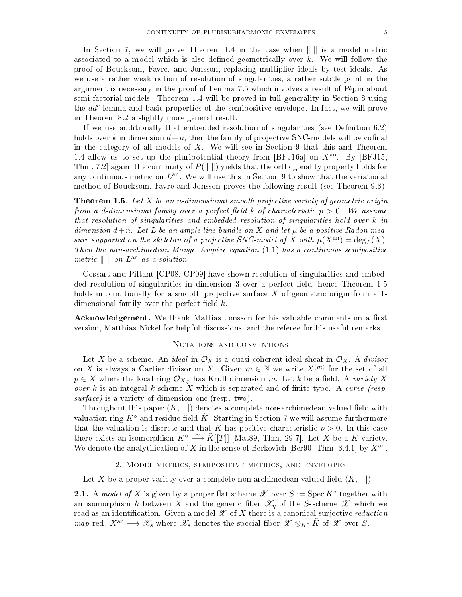In Section [7,](#page-16-0) we will prove Theorem [1.4](#page-3-0) in the case when  $\| \cdot \|$  is a model metric associated to a model which is also defined geometrically over  $k$ . We will follow the proof of Boucksom, Favre, and Jonsson, replacing multiplier ideals by test ideals. As we use a rather weak notion of resolution of singularities, a rather subtle point in the argument is necessary in the proof of Lemma [7.5](#page-18-0) which involves a result of Pépin about semi-factorial models. Theorem [1.4](#page-3-0) will be proved in full generality in Section [8](#page-19-0) using the dd<sup>c</sup>-lemma and basic properties of the semipositive envelope. In fact, we will prove in Theorem [8.2](#page-19-1) a slightly more general result.

If we use additionally that embedded resolution of singularities (see Definition  $6.2$ ) holds over k in dimension  $d+n$ , then the family of projective SNC-models will be cofinal in the category of all models of  $X$ . We will see in Section [9](#page-21-0) that this and Theorem [1.4](#page-3-0) allow us to set up the pluripotential theory from [\[BFJ16a\]](#page-29-4) on  $X^{an}$ . By [\[BFJ15,](#page-29-5) Thm. 7.2 again, the continuity of  $P(\Vert \cdot \Vert)$  yields that the orthogonality property holds for any continuous metric on  $L^{\text{an}}$ . We will use this in Section [9](#page-21-0) to show that the variational method of Boucksom, Favre and Jonsson proves the following result (see Theorem [9.3\)](#page-22-0).

<span id="page-4-1"></span>**Theorem 1.5.** Let X be an n-dimensional smooth projective variety of geometric origin from a d-dimensional family over a perfect field k of characteristic  $p > 0$ . We assume that resolution of singularities and embedded resolution of singularities hold over k in dimension  $d+n$ . Let L be an ample line bundle on X and let  $\mu$  be a positive Radon measure supported on the skeleton of a projective SNC-model of X with  $\mu(X^{\text{an}}) = \text{deg}_L(X)$ . Then the non-archimedean Monge-Ampère equation  $(1.1)$  has a continuous semipositive metric  $\parallel \ \parallel on \ L^{\text{an}}$  as a solution.

Cossart and Piltant [\[CP08,](#page-29-8) [CP09\]](#page-30-4) have shown resolution of singularities and embed-ded resolution of singularities in dimension 3 over a perfect field, hence Theorem [1.5](#page-4-1) holds unconditionally for a smooth projective surface  $X$  of geometric origin from a 1dimensional family over the perfect field  $k$ .

Acknowledgement. We thank Mattias Jonsson for his valuable comments on a first version, Matthias Nickel for helpful discussions, and the referee for his useful remarks.

# NOTATIONS AND CONVENTIONS

Let X be a scheme. An *ideal* in  $\mathcal{O}_X$  is a quasi-coherent ideal sheaf in  $\mathcal{O}_X$ . A *divisor* on X is always a Cartier divisor on X. Given  $m \in \mathbb{N}$  we write  $X^{(m)}$  for the set of all  $p \in X$  where the local ring  $\mathcal{O}_{X,p}$  has Krull dimension m. Let k be a field. A variety X over  $k$  is an integral  $k$ -scheme  $X$  which is separated and of finite type. A curve (resp. surface) is a variety of dimension one (resp. two).

Throughout this paper  $(K, | \cdot |)$  denotes a complete non-archimedean valued field with valuation ring  $K^{\circ}$  and residue field  $\tilde{K}$ . Starting in Section [7](#page-16-0) we will assume furthermore that the valuation is discrete and that K has positive characteristic  $p > 0$ . In this case there exists an isomorphism  $K^{\circ} \xrightarrow{\sim} \tilde{K}[[T]]$  [\[Mat89,](#page-30-5) Thm. 29.7]. Let X be a K-variety. We denote the analytification of X in the sense of Berkovich [\[Ber90,](#page-29-9) Thm. 3.4.1] by  $X^{\text{an}}$ .

#### 2. Model metrics, semipositive metrics, and envelopes

<span id="page-4-0"></span>Let X be a proper variety over a complete non-archimedean valued field  $(K, | \cdot |)$ .

<span id="page-4-2"></span>**2.1.** A model of X is given by a proper flat scheme  $\mathscr X$  over  $S := \operatorname{Spec} K^{\circ}$  together with an isomorphism h between X and the generic fiber  $\mathscr{X}_n$  of the S-scheme  $\mathscr{X}$  which we read as an identification. Given a model  $\mathscr X$  of  $X$  there is a canonical surjective *reduction* map red:  $X^{\text{an}} \longrightarrow \mathscr{X}_s$  where  $\mathscr{X}_s$  denotes the special fiber  $\mathscr{X} \otimes_{K^{\circ}} \tilde{K}$  of  $\mathscr{X}$  over S.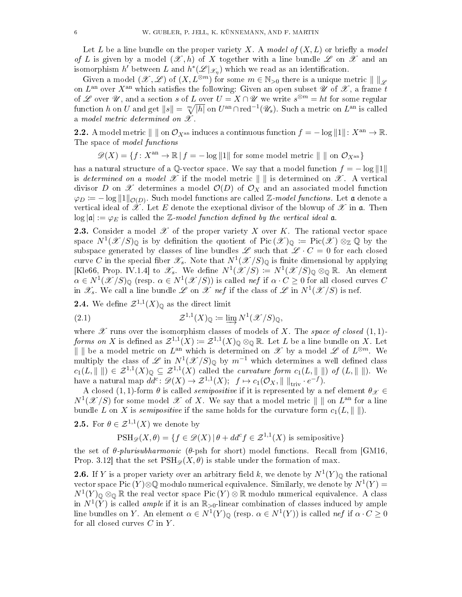Let L be a line bundle on the proper variety X. A model of  $(X, L)$  or briefly a model of L is given by a model  $(\mathscr{X}, h)$  of X together with a line bundle  $\mathscr{L}$  on  $\mathscr{X}$  and an isomorphism  $h'$  between  $L$  and  $h^*(\mathscr{L}|_{\mathscr{X}_\eta})$  which we read as an identification.

Given a model  $(\mathscr{X}, \mathscr{L})$  of  $(X, L^{\otimes m})$  for some  $m \in \mathbb{N}_{>0}$  there is a unique metric  $\| \cdot \|_{\mathscr{L}}$ on  $L^{\rm an}$  over  $X^{\rm an}$  which satisfies the following: Given an open subset  $\mathscr U$  of  $\mathscr X,$  a frame  $t$ of  $\mathscr L$  over  $\mathscr U,$  and a section  $s$  of  $L$  over  $U=X\cap \mathscr U$  we write  $s^{\otimes m}=ht$  for some regular function  $h$  on  $U$  and get  $\|s\|=\sqrt[m]{|h|}$  on  $U^{\rm an}\cap{\rm red}^{-1}(\mathscr{U}_s)$ . Such a metric on  $L^{\rm an}$  is called a model metric determined on  $\mathscr X$ .

<span id="page-5-1"></span>**2.2.** A model metric  $\| \|\$  on  $\mathcal{O}_{X^{an}}$  induces a continuous function  $f = -\log \|1\|$ :  $X^{an} \to \mathbb{R}$ . The space of model functions

 $\mathscr{D}(X) = \{f: X^{\text{an}} \to \mathbb{R} \mid f = -\log \|1\| \text{ for some model metric } \| \text{ in } \mathcal{O}_{X^{\text{an}}} \}$ 

has a natural structure of a Q-vector space. We say that a model function  $f = -\log ||1||$ is determined on a model  $\mathscr X$  if the model metric  $\|\cdot\|$  is determined on  $\mathscr X$ . A vertical divisor D on X determines a model  $\mathcal{O}(D)$  of  $\mathcal{O}_X$  and an associated model function  $\varphi_D \coloneqq -\log \|1\|_{\mathcal{O}(D)}$ . Such model functions are called Z-model functions. Let a denote a vertical ideal of  $\hat{\mathscr{X}}$ . Let E denote the exeptional divisor of the blowup of  $\mathscr{X}$  in  $\mathfrak{a}$ . Then  $\log |\mathfrak{a}| := \varphi_E$  is called the Z-model function defined by the vertical ideal  $\mathfrak{a}$ .

**2.3.** Consider a model  $\mathscr X$  of the proper variety X over K. The rational vector space space  $N^1(\mathscr{X}/S)_{\mathbb{Q}}$  is by definition the quotient of  $Pic(\mathscr{X})_{\mathbb{Q}} := Pic(\mathscr{X}) \otimes_{\mathbb{Z}} \mathbb{Q}$  by the subspace generated by classes of line bundles  $\mathscr L$  such that  $\mathscr L \cdot C = 0$  for each closed curve  $C$  in the special fiber  $\mathscr{X}_{s}.$  Note that  $N^{1}(\mathscr{X}/S)_{\mathbb{Q}}$  is finite dimensional by applying [\[Kle66,](#page-30-6) Prop. IV.1.4] to  $\mathscr{X}_s$ . We define  $N^1(\mathscr{X}/S) := N^1(\mathscr{X}/S)_{\mathbb{Q}} \otimes_{\mathbb{Q}} \mathbb{R}$ . An element  $\alpha \in N^1(\mathcal{X}/S)_{\mathbb{Q}}$  (resp.  $\alpha \in N^1(\mathcal{X}/S)$ ) is called nef if  $\alpha \cdot C \geq 0$  for all closed curves C in  $\mathscr{X}_s$ . We call a line bundle  $\mathscr{L}$  on  $\mathscr{X}$  nef if the class of  $\mathscr{L}$  in  $N^1(\mathscr{X}/S)$  is nef.

**2.4.** We define  $\mathcal{Z}^{1,1}(X)_{\mathbb{Q}}$  as the direct limit

(2.1) 
$$
\mathcal{Z}^{1,1}(X)_{\mathbb{Q}} \coloneqq \varinjlim N^{1}(\mathcal{X}/S)_{\mathbb{Q}},
$$

where  $\mathscr X$  runs over the isomorphism classes of models of X. The space of closed  $(1, 1)$ forms on X is defined as  $\mathcal{Z}^{1,1}(X) := \mathcal{Z}^{1,1}(X)_{\mathbb{O}} \otimes_{\mathbb{O}} \mathbb{R}$ . Let L be a line bundle on X. Let || || be a model metric on  $L^{\text{an}}$  which is determined on  $\mathscr X$  by a model  $\mathscr L$  of  $L^{\otimes m}$ . We multiply the class of  $\mathscr L$  in  $N^1(\mathscr X/S)_{\mathbb Q}$  by  $m^{-1}$  which determines a well defined class  $c_1(L, \|\ \|) \in \mathcal{Z}^{1,1}(X)_{\mathbb{Q}} \subseteq \mathcal{Z}^{1,1}(X)$  called the *curvature form*  $c_1(L, \|\ \|)$  of  $(L, \|\ \|)$ . We have a natural map  $dd^c \colon \mathscr{D}(X) \to \mathcal{Z}^{1,1}(X);$   $f \mapsto c_1(\mathcal{O}_X, \|\ \|_{\text{triv}} \cdot e^{-f}).$ 

A closed (1, 1)-form  $\theta$  is called *semipositive* if it is represented by a nef element  $\theta_{\mathscr{X}} \in$  $N^1(\mathscr{X}/S)$  for some model  $\mathscr{X}$  of X. We say that a model metric  $\|\ \|$  on  $L^{\rm an}$  for a line bundle L on X is *semipositive* if the same holds for the curvature form  $c_1(L, \|\ \|)$ .

<span id="page-5-0"></span>**2.5.** For  $\theta \in \mathcal{Z}^{1,1}(X)$  we denote by

$$
\mathrm{PSH}_{\mathscr{D}}(X,\theta) = \{ f \in \mathscr{D}(X) \, | \, \theta + dd^c f \in \mathcal{Z}^{1,1}(X) \text{ is semipositive} \}
$$

the set of  $\theta$ -plurisubharmonic ( $\theta$ -psh for short) model functions. Recall from [\[GM16,](#page-30-7) Prop. 3.12 that the set  $\text{PSH}_{\mathscr{D}}(X, \theta)$  is stable under the formation of max.

**2.6.** If Y is a proper variety over an arbitrary field k, we denote by  $N^1(Y)_{\mathbb{Q}}$  the rational vector space Pic (Y)⊗Q modulo numerical equivalence. Similarly, we denote by  $N^1(Y) =$  $N^1(Y)_{\mathbb{Q}}\otimes_{\mathbb{Q}}\mathbb{R}$  the real vector space Pic  $(Y)\otimes\mathbb{R}$  modulo numerical equivalence. A class in  $N^1(Y)$  is called *ample* if it is an  $\mathbb{R}_{>0}$ -linear combination of classes induced by ample line bundles on Y. An element  $\alpha \in N^1(Y)_{\mathbb{Q}}$  (resp.  $\alpha \in N^1(Y)$ ) is called nef if  $\alpha \cdot C \ge 0$ for all closed curves  $C$  in  $Y$ .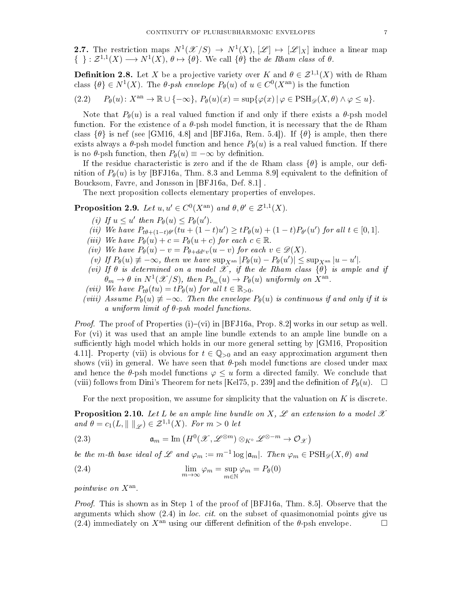2.7. The restriction maps  $N^1(\mathcal{X}/S) \to N^1(X), [\mathcal{L}] \mapsto [\mathcal{L}|_X]$  induce a linear map  $\{\;\}: \mathcal{Z}^{1,1}(X) \longrightarrow N^1(X), \theta \mapsto \{\theta\}.$  We call  $\{\theta\}$  the de Rham class of  $\theta$ .

<span id="page-6-4"></span>**Definition 2.8.** Let X be a projective variety over K and  $\theta \in \mathcal{Z}^{1,1}(X)$  with de Rham class  $\{\theta\} \in N^1(X)$ . The  $\theta$ -psh envelope  $P_\theta(u)$  of  $u \in C^0(X^{\text{an}})$  is the function

(2.2) 
$$
P_{\theta}(u): X^{\text{an}} \to \mathbb{R} \cup \{-\infty\}, P_{\theta}(u)(x) = \sup \{\varphi(x) | \varphi \in \text{PSH}_{\mathscr{D}}(X, \theta) \land \varphi \leq u\}.
$$

Note that  $P_{\theta}(u)$  is a real valued function if and only if there exists a  $\theta$ -psh model function. For the existence of a  $\theta$ -psh model function, it is necessary that the de Rham class  $\{\theta\}$  is nef (see [\[GM16,](#page-30-7) 4.8] and [\[BFJ16a,](#page-29-4) Rem. 5.4]). If  $\{\theta\}$  is ample, then there exists always a  $\theta$ -psh model function and hence  $P_{\theta}(u)$  is a real valued function. If there is no  $\theta$ -psh function, then  $P_{\theta}(u) \equiv -\infty$  by definition.

If the residue characteristic is zero and if the de Rham class  $\{\theta\}$  is ample, our definition of  $P_\theta(u)$  is by [\[BFJ16a,](#page-29-4) Thm. 8.3 and Lemma 8.9] equivalent to the definition of Boucksom, Favre, and Jonsson in [\[BFJ16a,](#page-29-4) Def. 8.1] .

The next proposition collects elementary properties of envelopes.

<span id="page-6-1"></span>**Proposition 2.9.** Let  $u, u' \in C^0(X^{\text{an}})$  and  $\theta, \theta' \in \mathcal{Z}^{1,1}(X)$ .

- (i) If  $u \leq u'$  then  $P_{\theta}(u) \leq P_{\theta}(u')$ .
- (ii) We have  $P_{t\theta+(1-t)\theta'}(tu+(1-t)u') \ge t P_{\theta}(u)+(1-t)P_{\theta'}(u')$  for all  $t \in [0,1]$ .
- (iii) We have  $P_{\theta}(u) + c = P_{\theta}(u+c)$  for each  $c \in \mathbb{R}$ .
- (iv) We have  $P_{\theta}(u) v = P_{\theta + dd^c v}(u v)$  for each  $v \in \mathscr{D}(X)$ .
- (v) If  $P_{\theta}(u) \not\equiv -\infty$ , then we have  $\sup_{X^{\text{an}}} |P_{\theta}(u) P_{\theta}(u')| \leq \sup_{X^{\text{an}}} |u u'|$ .
- (vi) If  $\theta$  is determined on a model  $\mathscr X$ , if the de Rham class  $\{\theta\}$  is ample and if  $\theta_m \to \theta$  in  $N^1(\mathscr{X}/S)$ , then  $P_{\theta_m}(u) \to P_{\theta}(u)$  uniformly on  $\hat{X}^{\text{an}}$ .
- (vii) We have  $P_{t\theta}(tu) = tP_{\theta}(u)$  for all  $t \in \mathbb{R}_{>0}$ .
- (viii) Assume  $P_{\theta}(u) \neq -\infty$ . Then the envelope  $P_{\theta}(u)$  is continuous if and only if it is a uniform limit of  $\theta$ -psh model functions.

*Proof.* The proof of Properties (i)–(vi) in [\[BFJ16a,](#page-29-4) Prop. 8.2] works in our setup as well. For (vi) it was used that an ample line bundle extends to an ample line bundle on a sufficiently high model which holds in our more general setting by [\[GM16,](#page-30-7) Proposition 4.11. Property (vii) is obvious for  $t \in \mathbb{Q}_{\geq 0}$  and an easy approximation argument then shows (vii) in general. We have seen that  $\theta$ -psh model functions are closed under max and hence the  $\theta$ -psh model functions  $\varphi \leq u$  form a directed family. We conclude that (viii) follows from Dini's Theorem for nets [\[Kel75,](#page-30-8) p. 239] and the definition of  $P_{\theta}(u)$ .  $\Box$ 

For the next proposition, we assume for simplicity that the valuation on  $K$  is discrete.

<span id="page-6-3"></span>**Proposition 2.10.** Let L be an ample line bundle on X,  $\mathscr L$  an extension to a model  $\mathscr X$ and  $\theta = c_1(L, \|\ \|_{\mathscr{L}}) \in \mathcal{Z}^{1,1}(X)$ . For  $m > 0$  let

<span id="page-6-2"></span>(2.3) 
$$
\mathfrak{a}_m = \text{Im}\left(H^0(\mathscr{X}, \mathscr{L}^{\otimes m}) \otimes_{K^\circ} \mathscr{L}^{\otimes -m} \to \mathcal{O}_{\mathscr{X}}\right)
$$

be the m-th base ideal of L and  $\varphi_m := m^{-1} \log |\mathfrak{a}_m|$ . Then  $\varphi_m \in \text{PSH}_{\mathscr{D}}(X, \theta)$  and

<span id="page-6-0"></span>(2.4) 
$$
\lim_{m \to \infty} \varphi_m = \sup_{m \in \mathbb{N}} \varphi_m = P_\theta(0)
$$

pointwise on  $X^{\text{an}}$ .

Proof. This is shown as in Step 1 of the proof of [\[BFJ16a,](#page-29-4) Thm. 8.5]. Observe that the arguments which show  $(2.4)$  in loc. cit. on the subset of quasimonomial points give us [\(2.4\)](#page-6-0) immediately on  $X^{\text{an}}$  using our different definition of the  $\theta$ -psh envelope.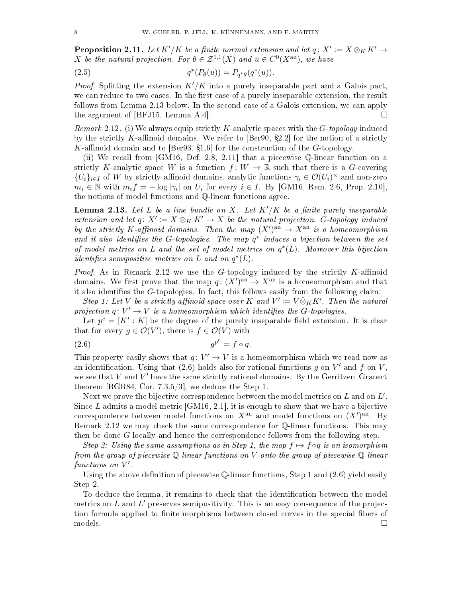<span id="page-7-3"></span>**Proposition 2.11.** Let  $K'/K$  be a finite normal extension and let  $q \colon X' := X \otimes_K K' \to$ X be the natural projection. For  $\theta \in \mathcal{Z}^{1,1}(X)$  and  $u \in C^0(X^{\text{an}})$ , we have

(2.5) 
$$
q^*(P_{\theta}(u)) = P_{q^*\theta}(q^*(u)).
$$

*Proof.* Splitting the extension  $K'/K$  into a purely inseparable part and a Galois part, we can reduce to two cases. In the first case of a purely inseparable extension, the result follows from Lemma [2.13](#page-7-0) below. In the second case of a Galois extension, we can apply the argument of [\[BFJ15,](#page-29-5) Lemma A.4].

<span id="page-7-1"></span>*Remark* 2.12. (i) We always equip strictly K-analytic spaces with the  $G$ -topology induced by the strictly K-affinoid domains. We refer to [\[Ber90,](#page-29-9)  $\S 2.2$ ] for the notion of a strictly K-affinoid domain and to [\[Ber93,](#page-29-10) §1.6] for the construction of the G-topology.

(ii) We recall from [\[GM16,](#page-30-7) Def. 2.8, 2.11] that a piecewise Q-linear function on a strictly K-analytic space W is a function  $f: W \to \mathbb{R}$  such that there is a G-covering  $\{U_i\}_{i\in I}$  of W by strictly affinoid domains, analytic functions  $\gamma_i \in \mathcal{O}(U_i)^\times$  and non-zero  $m_i \in \mathbb{N}$  with  $m_i f = -\log|\gamma_i|$  on  $U_i$  for every  $i \in I$ . By [\[GM16,](#page-30-7) Rem. 2.6, Prop. 2.10], the notions of model functions and Q-linear functions agree.

<span id="page-7-0"></span>**Lemma 2.13.** Let L be a line bundle on X. Let  $K'/K$  be a finite purely inseparable extension and let  $q: X' \coloneqq X \otimes_K K' \to X$  be the natural projection. G-topology induced by the strictly K-affinoid domains. Then the map  $(X')^{\text{an}} \to X^{\text{an}}$  is a homeomorphism and it also identifies the G-topologies. The map  $q^*$  induces a bijection between the set of model metrics on L and the set of model metrics on  $q^*(L)$ . Moreover this bijection *identifies semipositive metrics on* L and on  $q^*(L)$ .

*Proof.* As in Remark [2.12](#page-7-1) we use the  $G$ -topology induced by the strictly  $K$ -affinoid domains. We first prove that the map  $q: (X')^{\text{an}} \to X^{\text{an}}$  is a homeomorphism and that it also identifies the  $G$ -topologies. In fact, this follows easily from the following claim:

Step 1: Let V be a strictly affinoid space over K and  $V' \coloneqq V \hat{\otimes}_K K'$ . Then the natural projection  $q: V' \to V$  is a homeomorphism which identifies the G-topologies.

Let  $p^e = [K' : K]$  be the degree of the purely inseparable field extension. It is clear that for every  $g \in \mathcal{O}(V')$ , there is  $f \in \mathcal{O}(V)$  with

<span id="page-7-2"></span>
$$
(2.6) \t\t gpe = f \circ q.
$$

This property easily shows that  $q: V' \to V$  is a homeomorphism which we read now as an identification. Using that [\(2.6\)](#page-7-2) holds also for rational functions  $g$  on  $V'$  and  $f$  on  $V$ , we see that V and  $V'$  have the same strictly rational domains. By the Gerritzen-Grauert theorem [\[BGR84,](#page-29-11) Cor. 7.3.5/3], we deduce the Step 1.

Next we prove the bijective correspondence between the model metrics on  $L$  and on  $L^{\prime}.$ Since  $L$  admits a model metric  $[GM16, 2.1]$  $[GM16, 2.1]$ , it is enough to show that we have a bijective correspondence between model functions on  $X^{\text{an}}$  and model functions on  $(X')^{\text{an}}$ . By Remark [2.12](#page-7-1) we may check the same correspondence for  $\mathbb{Q}$ -linear functions. This may then be done G-locally and hence the correspondence follows from the following step.

Step 2: Using the same assumptions as in Step 1, the map  $f \mapsto f \circ q$  is an isomorphism from the group of piecewise  $\mathbb Q$ -linear functions on V onto the group of piecewise  $\mathbb Q$ -linear functions on  $V'$ .

Using the above definition of piecewise  $\mathbb Q$ -linear functions, Step 1 and  $(2.6)$  yield easily Step 2.

To deduce the lemma, it remains to check that the identification between the model metrics on  $L$  and  $L'$  preserves semipositivity. This is an easy consequence of the projection formula applied to finite morphisms between closed curves in the special fibers of  $\Box$  models.  $\Box$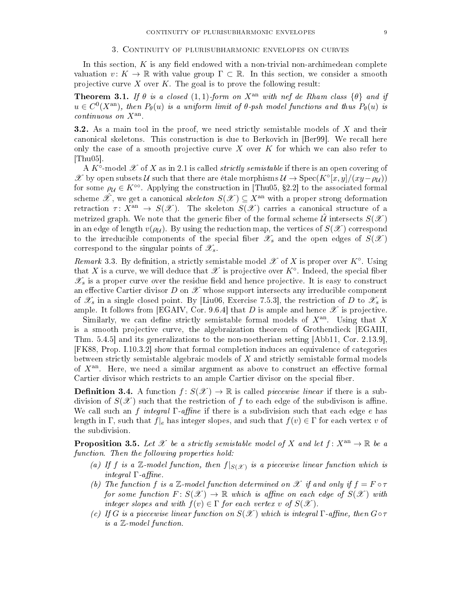<span id="page-8-0"></span>In this section,  $K$  is any field endowed with a non-trivial non-archimedean complete valuation  $v: K \to \mathbb{R}$  with value group  $\Gamma \subset \mathbb{R}$ . In this section, we consider a smooth projective curve  $X$  over  $K$ . The goal is to prove the following result:

<span id="page-8-1"></span>**Theorem 3.1.** If  $\theta$  is a closed (1, 1)-form on  $X^{an}$  with nef de Rham class  $\{\theta\}$  and if  $u \in C^0(X^{\rm an})$ , then  $P_\theta(u)$  is a uniform limit of  $\theta$ -psh model functions and thus  $P_\theta(u)$  is  $continuous\ on\ X^{\text{an}}$ .

**3.2.** As a main tool in the proof, we need strictly semistable models of X and their canonical skeletons. This construction is due to Berkovich in [\[Ber99\]](#page-29-12). We recall here only the case of a smooth projective curve  $X$  over  $K$  for which we can also refer to [\[Thu05\]](#page-31-4).

A  $K^{\circ}$ -model  ${\mathscr X}$  of  $X$  as in [2.1](#page-4-2) is called *strictly semistable* if there is an open covering of X by open subsets U such that there are étale morphisms  $\mathcal{U} \to \text{Spec}(K^{\circ}[x,y]/(xy - \rho_{\mathcal{U}}))$ for some  $\rho_{\mathcal{U}} \in K^{\infty}$ . Applying the construction in [\[Thu05,](#page-31-4) §2.2] to the associated formal scheme  $\hat{\mathscr{X}}$ , we get a canonical skeleton  $S(\mathscr{X}) \subseteq X^{\text{an}}$  with a proper strong deformation retraction  $\tau: X^{\text{an}} \to S(\mathscr{X})$ . The skeleton  $S(\mathscr{X})$  carries a canonical structure of a metrized graph. We note that the generic fiber of the formal scheme  $\hat{\mathcal{U}}$  intersects  $S(\mathscr{X})$ in an edge of length  $v(\rho_{\mathcal{U}})$ . By using the reduction map, the vertices of  $S(\mathcal{X})$  correspond to the irreducible components of the special fiber  $\mathscr{X}_s$  and the open edges of  $S(\mathscr{X})$ correspond to the singular points of  $\mathscr{X}_s$ .

Remark 3.3. By definition, a strictly semistable model  $\mathscr X$  of X is proper over  $K^{\circ}$ . Using that  $X$  is a curve, we will deduce that  $\mathscr X$  is projective over  $K^\circ$ . Indeed, the special fiber  $\mathscr{X}_s$  is a proper curve over the residue field and hence projective. It is easy to construct an effective Cartier divisor  $D$  on  $\mathscr X$  whose support intersects any irreducible component of  $\mathscr{X}_s$  in a single closed point. By [\[Liu06,](#page-30-9) Exercise 7.5.3], the restriction of D to  $\mathscr{X}_s$  is ample. It follows from [\[EGAIV,](#page-30-10) Cor. 9.6.4] that D is ample and hence  $\mathscr X$  is projective.

Similarly, we can define strictly semistable formal models of  $X<sup>an</sup>$ . Using that X is a smooth projective curve, the algebraization theorem of Grothendieck [\[EGAIII,](#page-30-11) Thm. 5.4.5] and its generalizations to the non-noetherian setting [\[Abb11,](#page-29-13) Cor. 2.13.9], [\[FK88,](#page-30-12) Prop. I.10.3.2] show that formal completion induces an equivalence of categories between strictly semistable algebraic models of  $X$  and strictly semistable formal models of  $X<sup>an</sup>$ . Here, we need a similar argument as above to construct an effective formal Cartier divisor which restricts to an ample Cartier divisor on the special fiber.

<span id="page-8-3"></span>**Definition 3.4.** A function  $f: S(\mathcal{X}) \to \mathbb{R}$  is called *piecewise linear* if there is a subdivision of  $S(\mathscr{X})$  such that the restriction of f to each edge of the subdivison is affine. We call such an f integral Γ-affine if there is a subdivision such that each edge e has length in Γ, such that  $f|_e$  has integer slopes, and such that  $f(v) \in \Gamma$  for each vertex v of the subdivision.

<span id="page-8-2"></span>**Proposition 3.5.** Let X be a strictly semistable model of X and let  $f: X^{an} \to \mathbb{R}$  be a function. Then the following properties hold:

- (a) If f is a  $\mathbb{Z}$ -model function, then  $f|_{S(\mathscr{X})}$  is a piecewise linear function which is integral  $\Gamma$ -affine.
- (b) The function f is a Z-model function determined on X if and only if  $f = F \circ \tau$ for some function  $F\colon S(\mathscr{X})\to\mathbb{R}$  which is affine on each edge of  $S(\mathscr{X})$  with integer slopes and with  $f(v) \in \Gamma$  for each vertex v of  $S(\mathscr{X})$ .
- (c) If G is a piecewise linear function on  $S(\mathscr{X})$  which is integral  $\Gamma$ -affine, then  $G \circ \tau$ is a Z-model function.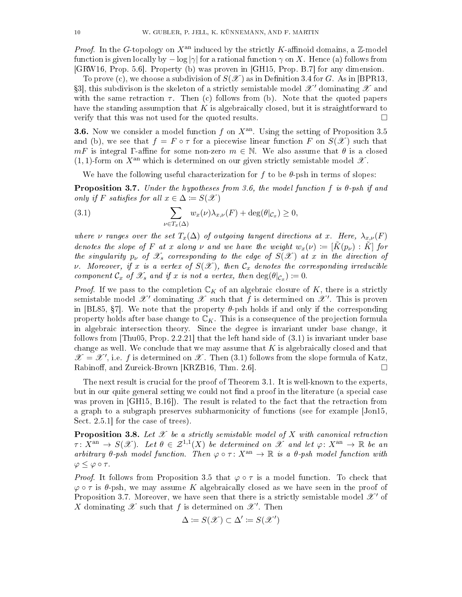*Proof.* In the G-topology on  $X^{an}$  induced by the strictly K-affinoid domains, a  $\mathbb{Z}$ -model function is given locally by  $-\log |\gamma|$  for a rational function  $\gamma$  on X. Hence (a) follows from [\[GRW16,](#page-30-13) Prop. 5.6]. Property (b) was proven in [\[GH15,](#page-30-14) Prop. B.7] for any dimension.

To prove (c), we choose a subdivision of  $S(\mathscr{X})$  as in Definition [3.4](#page-8-3) for G. As in [\[BPR13,](#page-29-14) §3], this subdivison is the skeleton of a strictly semistable model  $\mathscr{X}'$  dominating  $\mathscr{X}$  and with the same retraction  $\tau$ . Then (c) follows from (b). Note that the quoted papers have the standing assumption that  $K$  is algebraically closed, but it is straightforward to verify that this was not used for the quoted results.

<span id="page-9-1"></span>**3.6.** Now we consider a model function f on  $X<sup>an</sup>$ . Using the setting of Proposition [3.5](#page-8-2) and (b), we see that  $f = F \circ \tau$  for a piecewise linear function F on  $S(\mathscr{X})$  such that  $mF$  is integral Γ-affine for some non-zero  $m \in \mathbb{N}$ . We also assume that  $\theta$  is a closed  $(1, 1)$ -form on  $X^{an}$  which is determined on our given strictly semistable model  $\mathscr X$ .

We have the following useful characterization for f to be  $\theta$ -psh in terms of slopes:

<span id="page-9-3"></span>**Proposition 3.7.** Under the hypotheses from [3.6,](#page-9-1) the model function f is  $\theta$ -psh if and only if F satisfies for all  $x \in \Delta := S(\mathcal{X})$ 

<span id="page-9-2"></span>(3.1) 
$$
\sum_{\nu \in T_x(\Delta)} w_x(\nu) \lambda_{x,\nu}(F) + \deg(\theta|_{\mathcal{C}_x}) \geq 0,
$$

where  $\nu$  ranges over the set  $T_x(\Delta)$  of outgoing tangent directions at x. Here,  $\lambda_{x,\nu}(F)$ denotes the slope of F at x along v and we have the weight  $w_x(\nu) := [\tilde{K}(p_{\nu}) : \tilde{K}]$  for the singularity  $p_{\nu}$  of  $\mathscr{X}_s$  corresponding to the edge of  $S(\mathscr{X})$  at x in the direction of *v.* Moreover, if x is a vertex of  $S(\mathcal{X})$ , then  $\mathcal{C}_x$  denotes the corresponding irreducible component  $\mathcal{C}_x$  of  $\mathscr{X}_s$  and if x is not a vertex, then  $\deg(\theta|_{\mathcal{C}_x}) \coloneqq 0$ .

*Proof.* If we pass to the completion  $\mathbb{C}_K$  of an algebraic closure of K, there is a strictly semistable model  $\mathscr{X}'$  dominating  $\mathscr{X}$  such that  $f$  is determined on  $\mathscr{X}'$ . This is proven in [\[BL85,](#page-29-15)  $\S7$ ]. We note that the property  $\theta$ -psh holds if and only if the corresponding property holds after base change to  $\mathbb{C}_K$ . This is a consequence of the projection formula in algebraic intersection theory. Since the degree is invariant under base change, it follows from [\[Thu05,](#page-31-4) Prop. 2.2.21] that the left hand side of [\(3.1\)](#page-9-2) is invariant under base change as well. We conclude that we may assume that  $K$  is algebraically closed and that  $\mathscr{X} = \mathscr{X}'$ , i.e. f is determined on  $\mathscr{X}$ . Then [\(3.1\)](#page-9-2) follows from the slope formula of Katz, Rabinoff, and Zureick-Brown [\[KRZB16,](#page-30-1) Thm. 2.6].

The next result is crucial for the proof of Theorem [3.1.](#page-8-1) It is well-known to the experts, but in our quite general setting we could not find a proof in the literature (a special case was proven in [\[GH15,](#page-30-14) B.16]). The result is related to the fact that the retraction from a graph to a subgraph preserves subharmonicity of functions (see for example [\[Jon15,](#page-30-15) Sect. 2.5.1 for the case of trees).

<span id="page-9-0"></span>**Proposition 3.8.** Let  $\mathcal{X}$  be a strictly semistable model of  $X$  with canonical retraction  $\tau \colon X^{\mathrm{an}} \to S(\mathscr{X})$ . Let  $\theta \in \mathcal{Z}^{1,1}(X)$  be determined on  $\mathscr{X}$  and let  $\varphi \colon X^{\mathrm{an}} \to \mathbb{R}$  be an arbitrary  $\theta$ -psh model function. Then  $\varphi \circ \tau \colon X^{\text{an}} \to \mathbb{R}$  is a  $\theta$ -psh model function with  $\varphi \leq \varphi \circ \tau$ .

*Proof.* It follows from Proposition [3.5](#page-8-2) that  $\varphi \circ \tau$  is a model function. To check that  $\varphi \circ \tau$  is  $\theta$ -psh, we may assume K algebraically closed as we have seen in the proof of Proposition [3.7.](#page-9-3) Moreover, we have seen that there is a strictly semistable model  $\mathscr{X}'$  of X dominating  $\mathscr X$  such that f is determined on  $\mathscr X'$ . Then

$$
\Delta \coloneqq S(\mathscr{X}) \subset \Delta' \coloneqq S(\mathscr{X}')
$$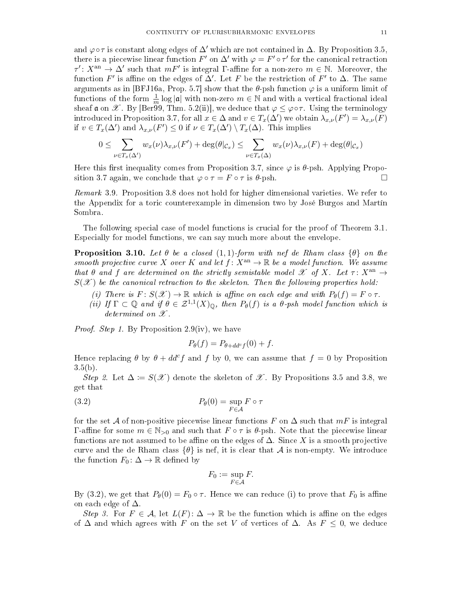and  $\varphi \circ \tau$  is constant along edges of  $\Delta'$  which are not contained in  $\Delta$ . By Proposition [3.5,](#page-8-2) there is a piecewise linear function  $F'$  on  $\Delta'$  with  $\varphi = F' \circ \tau'$  for the canonical retraction  $\tau' \colon X^{\text{an}} \to \Delta'$  such that  $mF'$  is integral  $\Gamma$ -affine for a non-zero  $m \in \mathbb{N}$ . Moreover, the function  $F'$  is affine on the edges of  $\Delta'$ . Let  $F$  be the restriction of  $F'$  to  $\Delta$ . The same arguments as in [\[BFJ16a,](#page-29-4) Prop. 5.7] show that the  $\theta$ -psh function  $\varphi$  is a uniform limit of functions of the form  $\frac{1}{m} \log |\mathfrak{a}|$  with non-zero  $m \in \mathbb{N}$  and with a vertical fractional ideal sheaf a on X. By [\[Ber99,](#page-29-12) Thm. 5.2(ii)], we deduce that  $\varphi \leq \varphi \circ \tau$ . Using the terminology introduced in Proposition [3.7,](#page-9-3) for all  $x \in \Delta$  and  $v \in T_x(\Delta')$  we obtain  $\lambda_{x,\nu}(F') = \lambda_{x,\nu}(F)$ if  $v \in T_x(\Delta')$  and  $\lambda_{x,\nu}(F') \leq 0$  if  $\nu \in T_x(\Delta') \setminus T_x(\Delta)$ . This implies

$$
0 \leq \sum_{\nu \in T_x(\Delta')} w_x(\nu) \lambda_{x,\nu}(F') + \deg(\theta|_{\mathcal{C}_x}) \leq \sum_{\nu \in T_x(\Delta)} w_x(\nu) \lambda_{x,\nu}(F) + \deg(\theta|_{\mathcal{C}_x})
$$

Here this first inequality comes from Proposition [3.7,](#page-9-3) since  $\varphi$  is  $\theta$ -psh. Applying Propo-sition [3.7](#page-9-3) again, we conclude that  $\varphi \circ \tau = F \circ \tau$  is  $\theta$ -psh.

Remark 3.9. Proposition [3.8](#page-9-0) does not hold for higher dimensional varieties. We refer to the Appendix for a toric counterexample in dimension two by José Burgos and Martín Sombra.

The following special case of model functions is crucial for the proof of Theorem [3.1.](#page-8-1) Especially for model functions, we can say much more about the envelope.

<span id="page-10-1"></span>**Proposition 3.10.** Let  $\theta$  be a closed  $(1, 1)$ -form with nef de Rham class  $\{\theta\}$  on the smooth projective curve X over K and let  $f: X^{an} \to \mathbb{R}$  be a model function. We assume that  $\theta$  and  $f$  are determined on the strictly semistable model  $\mathscr X$  of  $X$ . Let  $\tau: X^{\text{an}} \to$  $S(\mathcal{X})$  be the canonical retraction to the skeleton. Then the following properties hold:

- (i) There is  $F: S(\mathscr{X}) \to \mathbb{R}$  which is affine on each edge and with  $P_{\theta}(f) = F \circ \tau$ .
- (ii) If  $\Gamma \subset \mathbb{Q}$  and if  $\theta \in \mathcal{Z}^{1,1}(X)_{\mathbb{Q}}$ , then  $P_{\theta}(f)$  is a  $\theta$ -psh model function which is determined on  $\mathscr{X}$ .

*Proof.* Step 1. By Proposition [2.9\(](#page-6-1)iv), we have

<span id="page-10-0"></span>
$$
P_{\theta}(f) = P_{\theta + dd^c f}(0) + f.
$$

Hence replacing  $\theta$  by  $\theta + dd^c f$  and f by 0, we can assume that  $f = 0$  by Proposition  $3.5(b)$  $3.5(b)$ .

Step 2. Let  $\Delta := S(\mathscr{X})$  denote the skeleton of  $\mathscr{X}$ . By Propositions [3.5](#page-8-2) and [3.8,](#page-9-0) we get that

(3.2) 
$$
P_{\theta}(0) = \sup_{F \in \mathcal{A}} F \circ \tau
$$

for the set A of non-positive piecewise linear functions F on  $\Delta$  such that  $mF$  is integral Γ-affine for some  $m \in \mathbb{N}_{>0}$  and such that  $F \circ \tau$  is  $\theta$ -psh. Note that the piecewise linear functions are not assumed to be affine on the edges of  $\Delta$ . Since X is a smooth projective curve and the de Rham class  $\{\theta\}$  is nef, it is clear that A is non-empty. We introduce the function  $F_0: \Delta \to \mathbb{R}$  defined by

$$
F_0 := \sup_{F \in \mathcal{A}} F.
$$

By [\(3.2\)](#page-10-0), we get that  $P_{\theta}(0) = F_0 \circ \tau$ . Hence we can reduce (i) to prove that  $F_0$  is affine on each edge of  $\Delta$ .

Step 3. For  $F \in \mathcal{A}$ , let  $L(F): \Delta \to \mathbb{R}$  be the function which is affine on the edges of  $\Delta$  and which agrees with F on the set V of vertices of  $\Delta$ . As  $F \leq 0$ , we deduce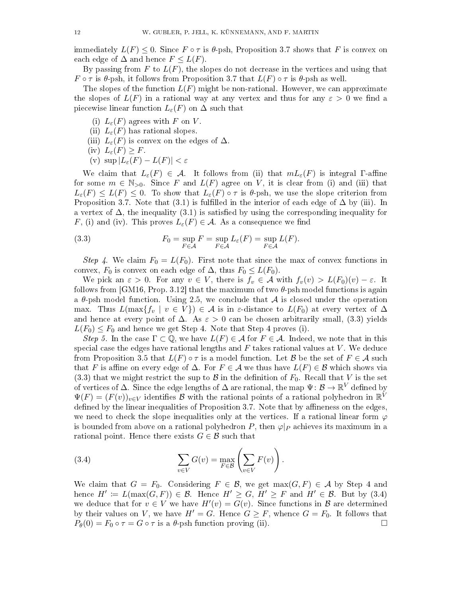immediately  $L(F) \leq 0$ . Since  $F \circ \tau$  is  $\theta$ -psh, Proposition [3.7](#page-9-3) shows that F is convex on each edge of  $\Delta$  and hence  $F \leq L(F)$ .

By passing from F to  $L(F)$ , the slopes do not decrease in the vertices and using that  $F \circ \tau$  is  $\theta$ -psh, it follows from Proposition [3.7](#page-9-3) that  $L(F) \circ \tau$  is  $\theta$ -psh as well.

The slopes of the function  $L(F)$  might be non-rational. However, we can approximate the slopes of  $L(F)$  in a rational way at any vertex and thus for any  $\varepsilon > 0$  we find a piecewise linear function  $L_{\varepsilon}(F)$  on  $\Delta$  such that

- (i)  $L_{\varepsilon}(F)$  agrees with F on V
- (ii)  $L_{\varepsilon}(F)$  has rational slopes.
- (iii)  $L_{\varepsilon}(F)$  is convex on the edges of  $\Delta$ .
- (iv)  $L_{\varepsilon}(F) \geq F$ .
- (v)  $\sup |L_{\varepsilon}(F) L(F)| < \varepsilon$

We claim that  $L_{\varepsilon}(F) \in \mathcal{A}$ . It follows from (ii) that  $mL_{\varepsilon}(F)$  is integral Γ-affine for some  $m \in \mathbb{N}_{>0}$ . Since F and  $L(F)$  agree on V, it is clear from (i) and (iii) that  $L_{\varepsilon}(F) \leq L(F) \leq 0$ . To show that  $L_{\varepsilon}(F) \circ \tau$  is  $\theta$ -psh, we use the slope criterion from Proposition [3.7.](#page-9-3) Note that [\(3.1\)](#page-9-2) is fulfilled in the interior of each edge of  $\Delta$  by (iii). In a vertex of  $\Delta$ , the inequality [\(3.1\)](#page-9-2) is satisfied by using the corresponding inequality for F, (i) and (iv). This proves  $L_{\varepsilon}(F) \in \mathcal{A}$ . As a consequence we find

<span id="page-11-0"></span>(3.3) 
$$
F_0 = \sup_{F \in \mathcal{A}} F = \sup_{F \in \mathcal{A}} L_{\varepsilon}(F) = \sup_{F \in \mathcal{A}} L(F).
$$

Step 4. We claim  $F_0 = L(F_0)$ . First note that since the max of convex functions in convex,  $F_0$  is convex on each edge of  $\Delta$ , thus  $F_0 \leq L(F_0)$ .

We pick an  $\varepsilon > 0$ . For any  $v \in V$ , there is  $f_v \in \mathcal{A}$  with  $f_v(v) > L(F_0)(v) - \varepsilon$ . It follows from [\[GM16,](#page-30-7) Prop. 3.12] that the maximum of two  $\theta$ -psh model functions is again a  $\theta$ -psh model function. Using [2.5,](#page-5-0) we conclude that A is closed under the operation max. Thus  $L(\max\{f_v \mid v \in V\}) \in \mathcal{A}$  is in  $\varepsilon$ -distance to  $L(F_0)$  at every vertex of  $\Delta$ and hence at every point of  $\Delta$ . As  $\varepsilon > 0$  can be chosen arbitrarily small, [\(3.3\)](#page-11-0) yields  $L(F_0) \leq F_0$  and hence we get Step 4. Note that Step 4 proves (i).

Step 5. In the case  $\Gamma \subset \mathbb{Q}$ , we have  $L(F) \in \mathcal{A}$  for  $F \in \mathcal{A}$ . Indeed, we note that in this special case the edges have rational lengths and  $F$  takes rational values at  $V$ . We deduce from Proposition [3.5](#page-8-2) that  $L(F) \circ \tau$  is a model function. Let B be the set of  $F \in \mathcal{A}$  such that F is affine on every edge of  $\Delta$ . For  $F \in \mathcal{A}$  we thus have  $L(F) \in \mathcal{B}$  which shows via [\(3.3\)](#page-11-0) that we might restrict the sup to  $\beta$  in the definition of  $F_0$ . Recall that V is the set of vertices of  $\Delta$ . Since the edge lengths of  $\Delta$  are rational, the map  $\Psi\colon\mathcal B\to\mathbb R^V$  defined by  $\Psi(F) = (F(v))_{v \in V}$  identifies B with the rational points of a rational polyhedron in  $\mathbb{R}^{\tilde{V}}$ defined by the linear inequalities of Proposition [3.7.](#page-9-3) Note that by affineness on the edges, we need to check the slope inequalities only at the vertices. If a rational linear form  $\varphi$ is bounded from above on a rational polyhedron P, then  $\varphi|_P$  achieves its maximum in a rational point. Hence there exists  $G \in \mathcal{B}$  such that

<span id="page-11-1"></span>(3.4) 
$$
\sum_{v \in V} G(v) = \max_{F \in \mathcal{B}} \left( \sum_{v \in V} F(v) \right).
$$

We claim that  $G = F_0$ . Considering  $F \in \mathcal{B}$ , we get  $max(G, F) \in \mathcal{A}$  by Step 4 and hence  $H' := L(\max(G, F)) \in \mathcal{B}$ . Hence  $H' \geq G$ ,  $H' \geq F$  and  $H' \in \mathcal{B}$ . But by [\(3.4\)](#page-11-1) we deduce that for  $v \in V$  we have  $H'(v) = G(v)$ . Since functions in  $\mathcal{B}$  are determined by their values on V, we have  $H' = G$ . Hence  $G \geq F$ , whence  $G = F_0$ . It follows that  $P_{\theta}(0) = F_0 \circ \tau = G \circ \tau$  is a  $\theta$ -psh function proving (ii).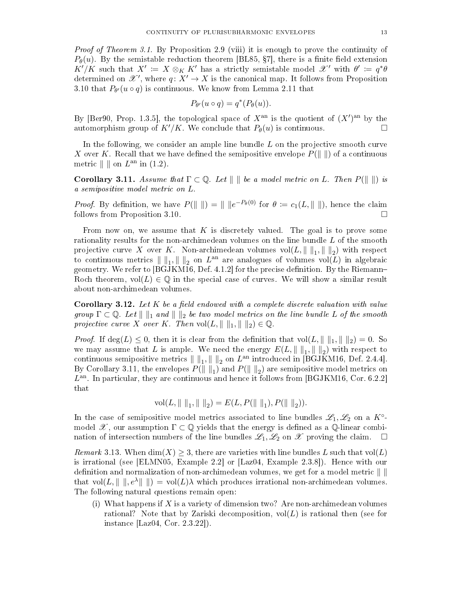*Proof of Theorem [3.1.](#page-8-1)* By Proposition [2.9](#page-6-1) (viii) it is enough to prove the continuity of  $P_{\theta}(u)$ . By the semistable reduction theorem [\[BL85,](#page-29-15) §7], there is a finite field extension  $K'/K$  such that  $X' := X \otimes_K K'$  has a strictly semistable model  $\mathscr{X}'$  with  $\theta' := q^*\theta$ determined on  $\mathscr{X}^{\prime}$ , where  $q: X^{\prime} \to X$  is the canonical map. It follows from Proposition [3.10](#page-10-1) that  $P_{\theta}(u \circ q)$  is continuous. We know from Lemma [2.11](#page-7-3) that

$$
P_{\theta'}(u \circ q) = q^*(P_{\theta}(u)).
$$

By [\[Ber90,](#page-29-9) Prop. 1.3.5], the topological space of  $X^{\text{an}}$  is the quotient of  $(X')^{\text{an}}$  by the automorphism group of  $K'/K$ . We conclude that  $P_{\theta}(u)$  is continuous.

In the following, we consider an ample line bundle  $L$  on the projective smooth curve X over K. Recall that we have defined the semipositive envelope  $P(\Vert \cdot \Vert)$  of a continuous metric  $\| \|$  on  $L^{\text{an}}$  in  $(1.2)$ .

<span id="page-12-0"></span>Corollary 3.11. Assume that  $\Gamma \subset \mathbb{Q}$ . Let  $\Vert \Vert$  be a model metric on L. Then  $P(\Vert \Vert)$  is a semipositive model metric on L.

*Proof.* By definition, we have  $P(\|\ \|) = \|\ \|e^{-P_{\theta}(0)}\|$  for  $\theta := c_1(L, \|\ \|)$ , hence the claim follows from Proposition [3.10.](#page-10-1)

From now on, we assume that K is discretely valued. The goal is to prove some rationality results for the non-archimedean volumes on the line bundle L of the smooth projective curve X over K. Non-archimedean volumes  $\mathrm{vol}(L,\|\hspace{0.05cm} \|_{1},\|\hspace{0.05cm} \|_{2})$  with respect to continuous metrics  $\| \|_1, \| \|_2$  on  $L^{\text{an}}$  are analogues of volumes  $\text{vol}(L)$  in algebraic geometry. We refer to  $[BGJKM16, Def. 4.1.2]$  $[BGJKM16, Def. 4.1.2]$  for the precise definition. By the Riemann-Roch theorem,  $vol(L) \in \mathbb{Q}$  in the special case of curves. We will show a similar result about non-archimedean volumes.

**Corollary 3.12.** Let  $K$  be a field endowed with a complete discrete valuation with value group  $\Gamma \subset \mathbb{Q}$ . Let  $\|\ \|_1$  and  $\|\ \|_2$  be two model metrics on the line bundle L of the smooth projective curve X over K. Then  $vol(L, \|\ \|_1, \|\ \|_2) \in \mathbb{Q}$ .

*Proof.* If  $\deg(L) \leq 0$ , then it is clear from the definition that  $\text{vol}(L, \| \|_1, \| \|_2) = 0$ . So we may assume that L is ample. We need the energy  $E(L, \|\ \|_1, \|\ \|_2)$  with respect to continuous semipositive metrics  $\| \|_1, \| \|_2$  on  $L^{\text{an}}$  introduced in [\[BGJKM16,](#page-29-6) Def. 2.4.4]. By Corollary [3.11,](#page-12-0) the envelopes  $P(\|\ \|_1)$  and  $P(\|\ \|_2)$  are semipositive model metrics on  $L<sup>an</sup>$ . In particular, they are continuous and hence it follows from [\[BGJKM16,](#page-29-6) Cor. 6.2.2] that

$$
vol(L, \|\ \|_1, \|\ \|_2) = E(L, P(\|\ \|_1), P(\|\ \|_2)).
$$

In the case of semipositive model metrics associated to line bundles  $\mathscr{L}_1, \mathscr{L}_2$  on a  $K^\circ$ model  $\mathscr{X}$ , our assumption  $\Gamma \subset \mathbb{Q}$  yields that the energy is defined as a  $\mathbb{Q}$ -linear combination of intersection numbers of the line bundles  $\mathscr{L}_1, \mathscr{L}_2$  on  $\mathscr{X}$  proving the claim.

*Remark* 3.13. When  $\dim(X) \geq 3$ , there are varieties with line bundles L such that  $\text{vol}(L)$ is irrational (see [\[ELMN05,](#page-30-16) Example 2.2] or [\[Laz04,](#page-30-17) Example 2.3.8]). Hence with our definition and normalization of non-archimedean volumes, we get for a model metric  $\|\ \|$ that  $vol(L, \| \|, e^{\lambda} \| \|) = vol(L)\lambda$  which produces irrational non-archimedean volumes. The following natural questions remain open:

(i) What happens if  $X$  is a variety of dimension two? Are non-archimedean volumes rational? Note that by Zariski decomposition,  $vol(L)$  is rational then (see for instance [\[Laz04,](#page-30-17) Cor. 2.3.22]).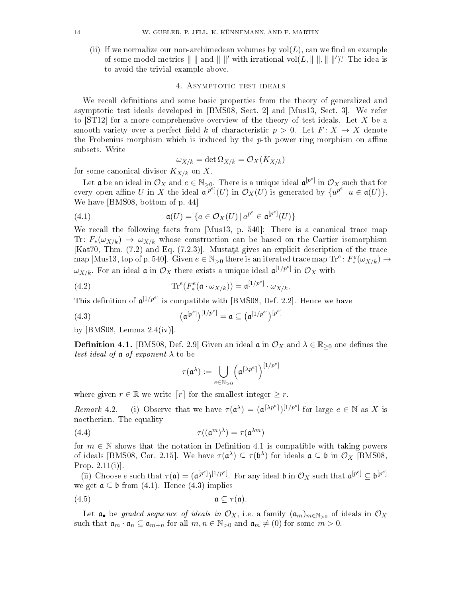(ii) If we normalize our non-archimedean volumes by  $vol(L)$ , can we find an example of some model metrics  $\| \|\$  and  $\| \|^{\prime}$  with irrational vol $(L, \|\ \|, \|\ \|')$ ? The idea is to avoid the trivial example above.

# 4. Asymptotic test ideals

<span id="page-13-0"></span>We recall definitions and some basic properties from the theory of generalized and asymptotic test ideals developed in [\[BMS08,](#page-29-16) Sect. 2] and [\[Mus13,](#page-30-3) Sect. 3]. We refer to  $\vert$ ST12 $\vert$  for a more comprehensive overview of the theory of test ideals. Let X be a smooth variety over a perfect field k of characteristic  $p > 0$ . Let  $F: X \to X$  denote the Frobenius morphism which is induced by the  $p$ -th power ring morphism on affine subsets. Write

<span id="page-13-2"></span>
$$
\omega_{X/k} = \det \Omega_{X/k} = \mathcal{O}_X(K_{X/k})
$$

for some canonical divisor  $K_{X/k}$  on X.

Let  $\frak a$  be an ideal in  $\mathcal O_X$  and  $e\in\mathbb N_{>0}.$  There is a unique ideal  $\frak a^{[p^e]}$  in  $\mathcal O_X$  such that for every open affine U in X the ideal  $\mathfrak{a}^{[p^e]}(U)$  in  $\mathcal{O}_X(U)$  is generated by  $\{u^{p^e} \mid u \in \mathfrak{a}(U)\}.$ We have [\[BMS08,](#page-29-16) bottom of p. 44]

(4.1) 
$$
\mathfrak{a}(U) = \{a \in \mathcal{O}_X(U) \mid a^{p^e} \in \mathfrak{a}^{[p^e]}(U)\}
$$

We recall the following facts from [\[Mus13,](#page-30-3) p. 540]: There is a canonical trace map Tr:  $F_*(\omega_{X/k}) \to \omega_{X/k}$  whose construction can be based on the Cartier isomorphism [\[Kat70,](#page-30-18) Thm.  $(7.2)$  and Eq.  $(7.2.3)$ ]. Mustata gives an explicit description of the trace  $\Gamma$  map [\[Mus13,](#page-30-3) top of p. 540]. Given  $e\in\mathbb{N}_{>0}$  there is an iterated trace map  $\text{Tr}^e\colon F^e_*(\omega_{X/k})\to F^e_*(\omega_{X/k})$  $\omega_{X/k}$ . For an ideal  $\mathfrak a$  in  $\mathcal O_X$  there exists a unique ideal  $\mathfrak a^{[1/p^e]}$  in  $\mathcal O_X$  with

(4.2) 
$$
\operatorname{Tr}^e(F^e_*(\mathfrak{a}\cdot\omega_{X/k}))=\mathfrak{a}^{[1/p^e]}\cdot\omega_{X/k}.
$$

This definition of  $\mathfrak{a}^{[1/p^e]}$  is compatible with [\[BMS08,](#page-29-16) Def. 2.2]. Hence we have

(4.3) 
$$
\left(\mathfrak{a}^{[p^e]}\right)^{[1/p^e]} = \mathfrak{a} \subseteq \left(\mathfrak{a}^{[1/p^e]}\right)^{[p^e]}
$$

by  $[BMS08, Lemma 2.4(iv)].$  $[BMS08, Lemma 2.4(iv)].$ 

<span id="page-13-1"></span>**Definition 4.1.** [\[BMS08,](#page-29-16) Def. 2.9] Given an ideal  $\mathfrak{a}$  in  $\mathcal{O}_X$  and  $\lambda \in \mathbb{R}_{\geq 0}$  one defines the test ideal of  $\alpha$  of exponent  $\lambda$  to be

<span id="page-13-4"></span><span id="page-13-3"></span>
$$
\tau(\mathfrak{a}^{\lambda}):=\bigcup_{e\in\mathbb{N}_{>0}}\left(\mathfrak{a}^{\lceil\lambda p^{e}\rceil}\right)^{[1/p^{e}]}
$$

where given  $r \in \mathbb{R}$  we write  $\lceil r \rceil$  for the smallest integer  $\geq r$ .

Remark 4.2. (i) Observe that we have  $\tau(\mathfrak{a}^{\lambda}) = (\mathfrak{a}^{\lceil \lambda p^e \rceil})^{[1/p^e]}$  for large  $e \in \mathbb{N}$  as X is noetherian. The equality

(4.4) 
$$
\tau((\mathfrak{a}^m)^{\lambda}) = \tau(\mathfrak{a}^{\lambda m})
$$

for  $m \in \mathbb{N}$  shows that the notation in Definition [4.1](#page-13-1) is compatible with taking powers of ideals [\[BMS08,](#page-29-16) Cor. 2.15]. We have  $\tau(\mathfrak{a}^{\lambda}) \subseteq \tau(\mathfrak{b}^{\lambda})$  for ideals  $\mathfrak{a} \subseteq \mathfrak{b}$  in  $\mathcal{O}_X$  [BMS08, Prop. 2.11(i)].

(ii) Choose e such that  $\tau(\mathfrak{a}) = (\mathfrak{a}^{[p^e]})^{[1/p^e]}$ . For any ideal b in  $\mathcal{O}_X$  such that  $\mathfrak{a}^{[p^e]} \subseteq \mathfrak{b}^{[p^e]}$ we get  $\mathfrak{a} \subseteq \mathfrak{b}$  from [\(4.1\)](#page-13-2). Hence [\(4.3\)](#page-13-3) implies

(4.5) a ⊆ τ (a).

Let  $\mathfrak{a}_\bullet$  be *graded sequence of ideals in*  $\mathcal{O}_X,$  i.e. a family  $(\mathfrak{a}_m)_{m\in\mathbb{N}_{>0}}$  of ideals in  $\mathcal{O}_X$ such that  $\mathfrak{a}_m \cdot \mathfrak{a}_n \subseteq \mathfrak{a}_{m+n}$  for all  $m, n \in \mathbb{N}_{>0}$  and  $\mathfrak{a}_m \neq (0)$  for some  $m > 0$ .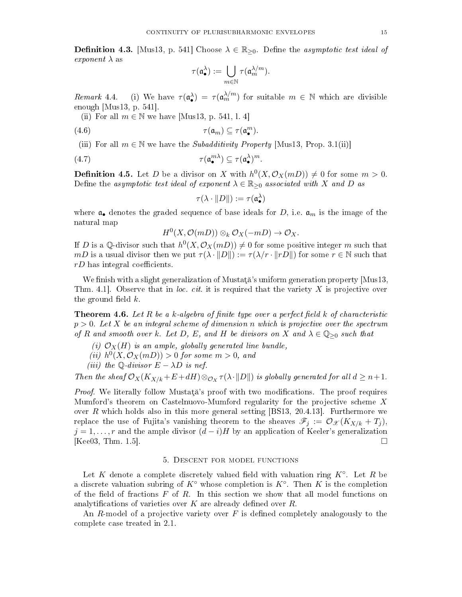**Definition 4.3.** [\[Mus13,](#page-30-3) p. 541] Choose  $\lambda \in \mathbb{R}_{\geq 0}$ . Define the asymptotic test ideal of *exponent*  $\lambda$  as

<span id="page-14-2"></span>
$$
\tau(\mathfrak{a}_\bullet^\lambda):=\bigcup_{m\in\mathbb{N}}\tau(\mathfrak{a}_m^{\lambda/m}).
$$

Remark 4.4. (i) We have  $\tau(\mathfrak{a}_{\bullet}^{\lambda}) = \tau(\mathfrak{a}_{m}^{\lambda/m})$  for suitable  $m \in \mathbb{N}$  which are divisible enough [\[Mus13,](#page-30-3) p. 541].

(ii) For all  $m \in \mathbb{N}$  we have [\[Mus13,](#page-30-3) p. 541, l. 4]

(4.6) τ (am) ⊆ τ (a m • ).

(iii) For all  $m \in \mathbb{N}$  we have the *Subadditivity Property* [\[Mus13,](#page-30-3) Prop. 3.1(ii)]

(4.7) τ (a mλ • ) ⊆ τ (a λ • ) m.

**Definition 4.5.** Let D be a divisor on X with  $h^0(X, \mathcal{O}_X(mD)) \neq 0$  for some  $m > 0$ . Define the asymptotic test ideal of exponent  $\lambda \in \mathbb{R}_{\geq 0}$  associated with X and D as

<span id="page-14-3"></span>
$$
\tau(\lambda\cdot\|D\|):=\tau(\mathfrak{a}_{\bullet}^{\lambda})
$$

where  $a_{\bullet}$  denotes the graded sequence of base ideals for D, i.e.  $a_m$  is the image of the natural map

 $H^0(X, \mathcal{O}(mD)) \otimes_k \mathcal{O}_X(-mD) \to \mathcal{O}_X.$ 

If D is a Q-divisor such that  $h^0(X, \mathcal{O}_X(mD)) \neq 0$  for some positive integer m such that mD is a usual divisor then we put  $\tau(\lambda \cdot ||D||) := \tau(\lambda/r \cdot ||rD||)$  for some  $r \in \mathbb{N}$  such that  $rD$  has integral coefficients.

We finish with a slight generalization of Mustata's uniform generation property  $[Mus13]$ Thm. 4.1. Observe that in loc. cit. it is required that the variety  $X$  is projective over the ground field  $k$ .

<span id="page-14-1"></span>**Theorem 4.6.** Let R be a k-algebra of finite type over a perfect field k of characteristic  $p > 0$ . Let X be an integral scheme of dimension n which is projective over the spectrum of R and smooth over k. Let D, E, and H be divisors on X and  $\lambda \in \mathbb{Q}_{\geq 0}$  such that

- (i)  $\mathcal{O}_X(H)$  is an ample, globally generated line bundle,
- (ii)  $h^0(X, \mathcal{O}_X(mD)) > 0$  for some  $m > 0$ , and

(iii) the Q-divisor 
$$
E - \lambda D
$$
 is nef.

Then the sheaf  $\mathcal{O}_X(K_{X/k}+E+dH)\otimes_{\mathcal{O}_X}\tau(\lambda\cdot\|D\|)$  is globally generated for all  $d\geq n+1$ .

*Proof.* We literally follow Musta<sub>t</sub> is proof with two modifications. The proof requires Mumford's theorem on Castelnuovo-Mumford regularity for the projective scheme X over R which holds also in this more general setting  $[BS13, 20.4.13]$  $[BS13, 20.4.13]$ . Furthermore we replace the use of Fujita's vanishing theorem to the sheaves  $\mathscr{F}_j := \mathcal{O}_{\mathscr{X}}(K_{X/k} + T_j)$ ,  $j = 1, \ldots, r$  and the ample divisor  $(d - i)H$  by an application of Keeler's generalization [\[Kee03,](#page-30-19) Thm. 1.5].

# 5. Descent for model functions

<span id="page-14-0"></span>Let K denote a complete discretely valued field with valuation ring  $K^{\circ}$ . Let R be a discrete valuation subring of  $K^{\circ}$  whose completion is  $K^{\circ}$ . Then K is the completion of the field of fractions  $F$  of  $R$ . In this section we show that all model functions on analytifications of varieties over  $K$  are already defined over  $R$ .

An  $R$ -model of a projective variety over  $F$  is defined completely analogously to the complete case treated in [2.1.](#page-4-2)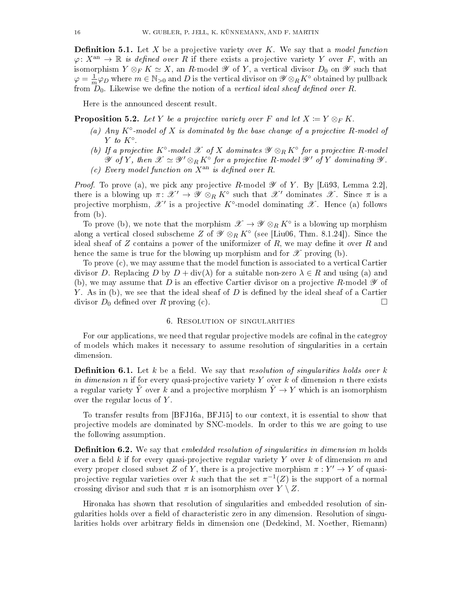**Definition 5.1.** Let X be a projective variety over K. We say that a *model function*  $\varphi: X^{\text{an}} \to \mathbb{R}$  is defined over R if there exists a projective variety Y over F, with an isomorphism  $Y \otimes_F K \simeq X$ , an R-model  $\mathscr Y$  of Y, a vertical divisor  $D_0$  on  $\mathscr Y$  such that  $\varphi=\frac{1}{n}$  $\frac{1}{m}\varphi_D$  where  $m \in \mathbb{N}_{>0}$  and  $D$  is the vertical divisor on  $\mathscr{Y} \otimes_R K^{\circ}$  obtained by pullback from  $D_0$ . Likewise we define the notion of a vertical ideal sheaf defined over R.

Here is the announced descent result.

<span id="page-15-3"></span>**Proposition 5.2.** Let Y be a projective variety over F and let  $X \coloneqq Y \otimes_F K$ .

- (a) Any  $K^{\circ}$ -model of X is dominated by the base change of a projective R-model of Y to  $K^{\circ}$ .
- (b) If a projective K<sup>o</sup>-model  $\mathscr X$  of X dominates  $\mathscr Y\otimes_R K^{\circ}$  for a projective R-model  $\mathscr Y$  of Y, then  $\mathscr X \simeq \mathscr Y' \otimes_R K^\circ$  for a projective R-model  $\mathscr Y'$  of Y dominating  $\mathscr Y$ . (c) Every model function on  $X^{\text{an}}$  is defined over R.

*Proof.* To prove (a), we pick any projective R-model  $\mathscr Y$  of Y. By [\[Lü93,](#page-30-20) Lemma 2.2], there is a blowing up  $\pi: \mathscr{X}' \to \mathscr{Y} \otimes_R K^{\circ}$  such that  $\mathscr{X}'$  dominates  $\mathscr{X}$ . Since  $\pi$  is a projective morphism,  $\mathscr{X}'$  is a projective  $K^{\circ}$ -model dominating  $\mathscr{X}$ . Hence (a) follows from (b).

To prove (b), we note that the morphism  $\mathscr{X} \to \mathscr{Y} \otimes_R K^{\circ}$  is a blowing up morphism along a vertical closed subscheme Z of  $\mathscr{Y}\otimes_R K^\circ$  (see [\[Liu06,](#page-30-9) Thm. 8.1.24]). Since the ideal sheaf of  $Z$  contains a power of the uniformizer of  $R$ , we may define it over  $R$  and hence the same is true for the blowing up morphism and for  $\mathscr X$  proving (b).

To prove (c), we may assume that the model function is associated to a vertical Cartier divisor D. Replacing D by  $D + \text{div}(\lambda)$  for a suitable non-zero  $\lambda \in R$  and using (a) and (b), we may assume that D is an effective Cartier divisor on a projective R-model  $\mathscr Y$  of Y. As in (b), we see that the ideal sheaf of  $D$  is defined by the ideal sheaf of a Cartier divisor  $D_0$  defined over R proving (c).

### 6. Resolution of singularities

<span id="page-15-0"></span>For our applications, we need that regular projective models are cofinal in the categroy of models which makes it necessary to assume resolution of singularities in a certain dimension.

<span id="page-15-1"></span>**Definition 6.1.** Let k be a field. We say that resolution of singularities holds over k in dimension n if for every quasi-projective variety Y over k of dimension n there exists a regular variety Y over k and a projective morphism  $\tilde{Y} \to Y$  which is an isomorphism over the regular locus of  $Y$ .

To transfer results from [\[BFJ16a,](#page-29-4) [BFJ15\]](#page-29-5) to our context, it is essential to show that projective models are dominated by SNC-models. In order to this we are going to use the following assumption.

<span id="page-15-2"></span>**Definition 6.2.** We say that *embedded resolution of singularities in dimension m* holds over a field k if for every quasi-projective regular variety Y over k of dimension m and every proper closed subset Z of Y, there is a projective morphism  $\pi : Y' \to Y$  of quasiprojective regular varieties over  $k$  such that the set  $\pi^{-1}(Z)$  is the support of a normal crossing divisor and such that  $\pi$  is an isomorphism over  $Y \setminus Z$ .

Hironaka has shown that resolution of singularities and embedded resolution of singularities holds over a field of characteristic zero in any dimension. Resolution of singularities holds over arbitrary fields in dimension one (Dedekind, M. Noether, Riemann)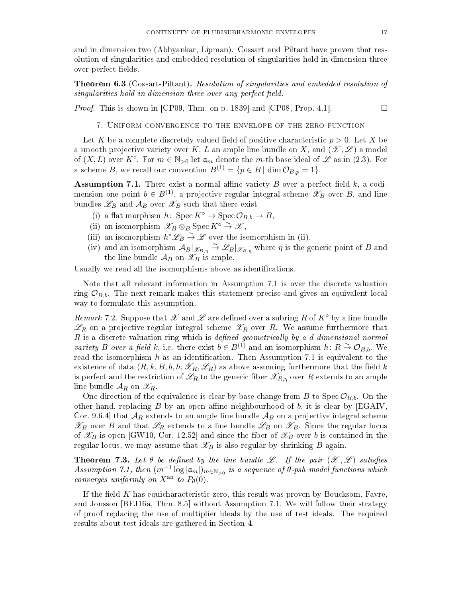and in dimension two (Abhyankar, Lipman). Cossart and Piltant have proven that resolution of singularities and embedded resolution of singularities hold in dimension three over perfect fields.

<span id="page-16-4"></span>Theorem 6.3 (Cossart-Piltant). Resolution of singularities and embedded resolution of singularities hold in dimension three over any perfect field.

<span id="page-16-0"></span>*Proof.* This is shown in [\[CP09,](#page-30-4) Thm. on p. 1839] and [\[CP08,](#page-29-8) Prop. 4.1].

7. Uniform convergence to the envelope of the zero function

Let K be a complete discretely valued field of positive characteristic  $p > 0$ . Let X be a smooth projective variety over K, L an ample line bundle on X, and  $(\mathscr{X}, \mathscr{L})$  a model of  $(X, L)$  over  $K^{\circ}$ . For  $m \in \mathbb{N}_{>0}$  let  $\mathfrak{a}_m$  denote the m-th base ideal of  $\mathscr{L}$  as in [\(2.3\)](#page-6-2). For a scheme B, we recall our convention  $B^{(1)} = \{p \in B \mid \dim \mathcal{O}_{B,p} = 1\}.$ 

<span id="page-16-1"></span>**Assumption 7.1.** There exist a normal affine variety  $B$  over a perfect field  $k$ , a codimension one point  $b \in B^{(1)}$ , a projective regular integral scheme  $\mathscr{X}_B$  over B, and line bundles  $\mathscr{L}_B$  and  $\mathcal{A}_B$  over  $\mathscr{X}_B$  such that there exist

- (i) a flat morphism h:  $\text{Spec } K^{\circ} \to \text{Spec } \mathcal{O}_{B,b} \to B$ ,
- (ii) an isomorphism  $\mathscr{X}_B \otimes_B \text{Spec } K^\circ \overset{\sim}{\to} \mathscr{X}$ ,
- (iii) an isomorphism  $h^*\mathscr{L}_B \overset{\sim}{\to} \mathscr{L}$  over the isomorphism in (ii),
- (iv) and an isomorphism  $\mathcal{A}_B|_{\mathcal{X}_{B,\eta}} \overset{\sim}{\to} \mathcal{L}_B|_{\mathcal{X}_{B,\eta}}$  where  $\eta$  is the generic point of B and the line bundle  $\mathcal{A}_B$  on  $\mathscr{X}_B$  is ample.

Usually we read all the isomorphisms above as identifications.

Note that all relevant information in Assumption [7.1](#page-16-1) is over the discrete valuation ring  $\mathcal{O}_{B,b}$ . The next remark makes this statement precise and gives an equivalent local way to formulate this assumption.

<span id="page-16-2"></span>Remark 7.2. Suppose that X and L are defined over a subring R of  $K^{\circ}$  by a line bundle  $\mathscr{L}_R$  on a projective regular integral scheme  $\mathscr{L}_R$  over R. We assume furthermore that  $R$  is a discrete valuation ring which is *defined geometrically by a d-dimensional normal* variety B over a field k, i.e. there exist  $b \in B^{(1)}$  and an isomorphism  $h: R \stackrel{\sim}{\to} \mathcal{O}_{B,b}$ . We read the isomorphism  $h$  as an identification. Then Assumption [7.1](#page-16-1) is equivalent to the existence of data  $(R, k, B, b, h, \mathscr{X}_R, \mathscr{L}_R)$  as above assuming furthermore that the field k is perfect and the restriction of  $\mathscr{L}_R$  to the generic fiber  $\mathscr{X}_{R,n}$  over R extends to an ample line bundle  $\mathcal{A}_R$  on  $\mathscr{X}_R$ .

One direction of the equivalence is clear by base change from B to Spec  $\mathcal{O}_{B,b}$ . On the other hand, replacing  $B$  by an open affine neighbourhood of  $b$ , it is clear by [\[EGAIV,](#page-30-10) Cor. 9.6.4 that  $A_R$  extends to an ample line bundle  $A_B$  on a projective integral scheme  $\mathscr{X}_B$  over B and that  $\mathscr{L}_R$  extends to a line bundle  $\mathscr{L}_B$  on  $\mathscr{X}_B$ . Since the regular locus of  $\mathscr{X}_B$  is open [\[GW10,](#page-30-21) Cor. 12.52] and since the fiber of  $\mathscr{X}_B$  over b is contained in the regular locus, we may assume that  $\mathscr{X}_B$  is also regular by shrinking B again.

<span id="page-16-3"></span>**Theorem 7.3.** Let  $\theta$  be defined by the line bundle  $\mathscr{L}$ . If the pair  $(\mathscr{X}, \mathscr{L})$  satisfies Assumption [7.1,](#page-16-1) then  $(m^{-1} \log |a_m|)_{m \in \mathbb{N}_{>0}}$  is a sequence of  $\theta$ -psh model functions which converges uniformly on  $X^{\text{an}}$  to  $P_{\theta}(0)$ .

If the field  $K$  has equicharacteristic zero, this result was proven by Boucksom, Favre, and Jonsson [\[BFJ16a,](#page-29-4) Thm. 8.5] without Assumption [7.1.](#page-16-1) We will follow their strategy of proof replacing the use of multiplier ideals by the use of test ideals. The required results about test ideals are gathered in Section [4.](#page-13-0)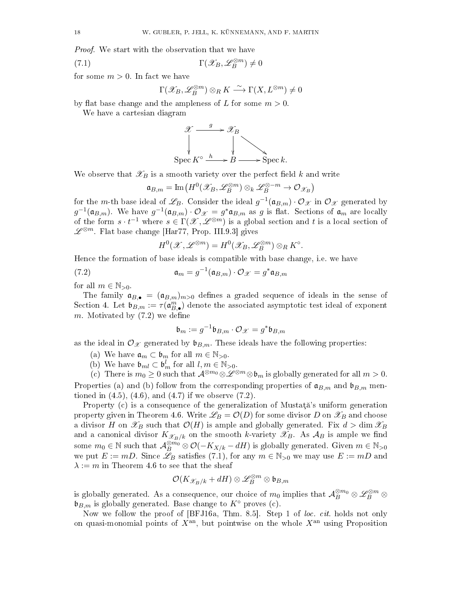Proof. We start with the observation that we have

(7.1) 
$$
\Gamma(\mathscr{X}_B, \mathscr{L}_B^{\otimes m}) \neq 0
$$

for some  $m > 0$ . In fact we have

<span id="page-17-1"></span>
$$
\Gamma(\mathscr{X}_{B},\mathscr{L}_{B}^{\otimes m})\otimes_{R}K\stackrel{\sim}{\longrightarrow}\Gamma(X,L^{\otimes m})\neq 0
$$

by flat base change and the ampleness of L for some  $m > 0$ .

We have a cartesian diagram



We observe that  $\mathscr{X}_B$  is a smooth variety over the perfect field k and write

$$
\mathfrak{a}_{B,m}=\text{Im}\big(H^0(\mathscr{X}_B,\mathscr{L}_B^{\otimes m})\otimes_k\mathscr{L}_B^{\otimes -m}\to \mathcal{O}_{\mathscr{X}_B}\big)
$$

for the m-th base ideal of  $\mathscr{L}_B$ . Consider the ideal  $g^{-1}(\mathfrak{a}_{B,m})\cdot\mathcal{O}_{\mathscr{X}}$  in  $\mathcal{O}_{\mathscr{X}}$  generated by  $g^{-1}(\mathfrak{a}_{B,m})$ . We have  $g^{-1}(\mathfrak{a}_{B,m})\cdot \mathcal{O}_{\mathscr{X}}=g^*\mathfrak{a}_{B,m}$  as g is flat. Sections of  $\mathfrak{a}_m$  are locally of the form  $s \cdot t^{-1}$  where  $s \in \Gamma(\mathscr{X}, \mathscr{L}^{\otimes m})$  is a global section and t is a local section of  $\mathscr{L}^{\otimes m}$ . Flat base change [\[Har77,](#page-30-22) Prop. III.9.3] gives

<span id="page-17-0"></span>
$$
H^{0}(\mathscr{X},\mathscr{L}^{\otimes m})=H^{0}(\mathscr{X}_{B},\mathscr{L}_{B}^{\otimes m})\otimes_{R}K^{\circ}.
$$

Hence the formation of base ideals is compatible with base change, i.e. we have

(7.2) 
$$
\mathfrak{a}_m = g^{-1}(\mathfrak{a}_{B,m}) \cdot \mathcal{O}_{\mathscr{X}} = g^* \mathfrak{a}_{B,m}
$$

for all  $m \in \mathbb{N}_{>0}$ .

The family  $a_{B,\bullet} = (a_{B,m})_{m>0}$  defines a graded sequence of ideals in the sense of Section [4.](#page-13-0) Let  $\mathfrak{b}_{B,m} := \tau(\mathfrak{a}_{B,\bullet}^m)$  denote the associated asymptotic test ideal of exponent m. Motivated by  $(7.2)$  we define

$$
\mathfrak{b}_m:=g^{-1}\mathfrak{b}_{B,m}\cdot\mathcal{O}_{\mathscr{X}}=g^*\mathfrak{b}_{B,m}
$$

as the ideal in  $\mathcal{O}_{\mathcal{X}}$  generated by  $\mathfrak{b}_{B,m}$ . These ideals have the following properties:

- (a) We have  $\mathfrak{a}_m \subset \mathfrak{b}_m$  for all  $m \in \mathbb{N}_{>0}$ .
- (b) We have  $\mathfrak{b}_{ml} \subset \mathfrak{b}_m^l$  for all  $l, m \in \mathbb{N}_{>0}$ .

(c) There is  $m_0 \geq 0$  such that  $\mathcal{A}^{\otimes m_0} \otimes \mathcal{L}^{\otimes m} \otimes \mathfrak{b}_m$  is globally generated for all  $m > 0$ . Properties (a) and (b) follow from the corresponding properties of  $\mathfrak{a}_{B,m}$  and  $\mathfrak{b}_{B,m}$  mentioned in  $(4.5)$ ,  $(4.6)$ , and  $(4.7)$  if we observe  $(7.2)$ .

Property  $(c)$  is a consequence of the generalization of Mustata's uniform generation property given in Theorem [4.6.](#page-14-1) Write  $\mathscr{L}_B = \mathcal{O}(D)$  for some divisor D on  $\mathscr{X}_B$  and choose a divisor H on  $\mathscr{X}_B$  such that  $\mathcal{O}(H)$  is ample and globally generated. Fix  $d > \dim \mathscr{X}_B$ and a canonical divisor  $K_{\mathscr{X}_{B}/k}$  on the smooth k-variety  $\mathscr{X}_{B}$ . As  $\mathcal{A}_{B}$  is ample we find some  $m_0 \in \mathbb{N}$  such that  $\mathcal{A}_{B}^{\otimes m_0} \otimes \mathcal{O}(-K_{X/k} - dH)$  is globally generated. Given  $m \in \mathbb{N}_{>0}$ we put  $E := mD$ . Since  $\mathscr{L}_B$  satisfies [\(7.1\)](#page-17-1), for any  $m \in \mathbb{N}_{>0}$  we may use  $E := mD$  and  $\lambda := m$  in Theorem [4.6](#page-14-1) to see that the sheaf

$$
\mathcal{O}(K_{\mathscr{X}_B/k}+dH)\otimes \mathscr{L}_B^{\otimes m}\otimes \mathfrak{b}_{B,m}
$$

is globally generated. As a consequence, our choice of  $m_0$  implies that  ${\cal A}_B^{\otimes m_0}\otimes{\mathscr L}_B^{\otimes m}\otimes$  $\mathfrak{b}_{B,m}$  is globally generated. Base change to  $K^{\circ}$  proves (c).

Now we follow the proof of [\[BFJ16a,](#page-29-4) Thm. 8.5]. Step 1 of loc. cit. holds not only on quasi-monomial points of  $X<sup>an</sup>$ , but pointwise on the whole  $X<sup>an</sup>$  using Proposition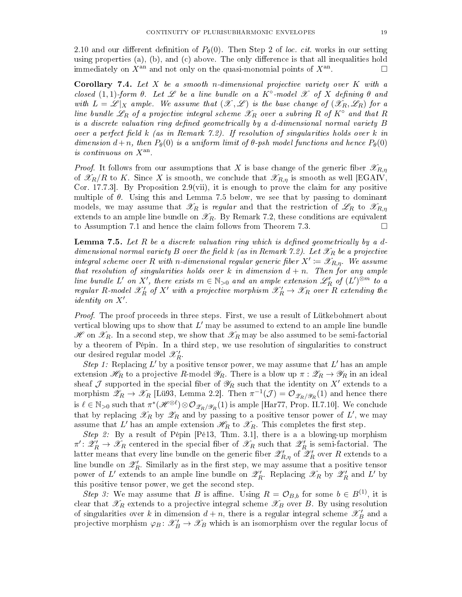[2.10](#page-6-3) and our different definition of  $P_{\theta}(0)$ . Then Step 2 of loc. cit. works in our setting using properties (a), (b), and (c) above. The only difference is that all inequalities hold immediately on  $X^{\text{an}}$  and not only on the quasi-monomial points of  $X^{\text{an}}$ . . — Партина и Стана и Стана и Стана и Стана и Стана и Стана и Стана и Стана и Стана и Стана и Стана и Стана и<br>Стана и Стана и Стана и Стана и Стана и Стана и Стана и Стана и Стана и Стана и Стана и Стана и Стана и Стана

<span id="page-18-1"></span>**Corollary 7.4.** Let  $X$  be a smooth n-dimensional projective variety over  $K$  with a closed  $(1,1)$ -form  $\theta$ . Let  $\mathscr L$  be a line bundle on a  $K^{\circ}$ -model  $\mathscr X$  of  $X$  defining  $\theta$  and with  $L = \mathscr{L}|_X$  ample. We assume that  $(\mathscr{X}, \mathscr{L})$  is the base change of  $(\mathscr{X}_R, \mathscr{L}_R)$  for a line bundle  $\mathscr{L}_R$  of a projective integral scheme  $\mathscr{X}_R$  over a subring R of K<sup></sup> $\alpha$  and that R is a discrete valuation ring defined geometrically by a d-dimensional normal variety  $B$ over a perfect field  $k$  (as in Remark [7.2\)](#page-16-2). If resolution of singularities holds over k in dimension  $d+n$ , then  $P_{\theta}(0)$  is a uniform limit of  $\theta$ -psh model functions and hence  $P_{\theta}(0)$ is continuous on  $X^{\text{an}}$ .

*Proof.* It follows from our assumptions that X is base change of the generic fiber  $\mathscr{X}_{R,\eta}$ of  $\mathscr{X}_R/R$  to K. Since X is smooth, we conclude that  $\mathscr{X}_{R,n}$  is smooth as well [\[EGAIV,](#page-30-10) Cor. 17.7.3. By Proposition [2.9\(](#page-6-1)vii), it is enough to prove the claim for any positive multiple of  $\theta$ . Using this and Lemma [7.5](#page-18-0) below, we see that by passing to dominant models, we may assume that  $\mathscr{X}_R$  is regular and that the restriction of  $\mathscr{L}_R$  to  $\mathscr{X}_{R,\eta}$ extends to an ample line bundle on  $\mathscr{X}_R$ . By Remark [7.2,](#page-16-2) these conditions are equivalent to Assumption [7.1](#page-16-1) and hence the claim follows from Theorem [7.3.](#page-16-3)

<span id="page-18-0"></span>**Lemma 7.5.** Let R be a discrete valuation ring which is defined geometrically by a d-dimensional normal variety B over the field k (as in Remark [7.2\)](#page-16-2). Let  $\mathscr{X}_R$  be a projective integral scheme over R with n-dimensional regular generic fiber  $X' \coloneqq \mathscr{X}_{R,\eta}$ . We assume that resolution of singularities holds over k in dimension  $d + n$ . Then for any ample line bundle L' on X', there exists  $m \in \mathbb{N}_{>0}$  and an ample extension  $\mathscr{L}'_R$  of  $(L')^{\otimes m}$  to a regular R-model  $\mathscr{X}'_R$  of  $X'$  with a projective morphism  $\mathscr{X}'_R \to \mathscr{X}_R$  over  $R$  extending the *identity* on  $X'$ .

*Proof.* The proof proceeds in three steps. First, we use a result of Lütkebohmert about vertical blowing ups to show that  $L'$  may be assumed to extend to an ample line bundle  $\mathscr{H}$  on  $\mathscr{X}_R$ . In a second step, we show that  $\mathscr{X}_R$  may be also assumed to be semi-factorial by a theorem of Pépin. In a third step, we use resolution of singularities to construct our desired regular model  $\mathscr{X}'_R$ .

Step 1: Replacing L' by a positive tensor power, we may assume that L' has an ample extension  $\mathscr{H}_R$  to a projective R-model  $\mathscr{Y}_R$ . There is a blow up  $\pi : \mathscr{Z}_R \to \mathscr{Y}_R$  in an ideal sheaf  $\mathcal J$  supported in the special fiber of  $\mathscr H_R$  such that the identity on  $X'$  extends to a morphism  $\mathscr{Z}_R \to \mathscr{X}_R$  [\[Lü93,](#page-30-20) Lemma 2.2]. Then  $\pi^{-1}(\mathcal{J}) = \mathcal{O}_{\mathscr{Z}_R/\mathscr{Y}_R}(1)$  and hence there is  $\ell \in \mathbb{N}_{>0}$  such that  $\pi^*(\mathscr{H}^{\otimes \ell}) \otimes \mathcal{O}_{\mathscr{Z}_R/\mathscr{Y}_R}(1)$  is ample [\[Har77,](#page-30-22) Prop. II.7.10]. We conclude that by replacing  $\mathscr{X}_R$  by  $\mathscr{Z}_R$  and by passing to a positive tensor power of  $L'$ , we may assume that  $L'$  has an ample extension  $\mathscr{H}_{R}$  to  $\mathscr{X}_{R}.$  This completes the first step.

Step 2: By a result of Pépin [\[Pé13,](#page-31-6) Thm. 3.1], there is a a blowing-up morphism  $\pi'\colon\mathscr{Z}'_R\to\mathscr{X}_R$  centered in the special fiber of  $\mathscr{X}_R$  such that  $\mathscr{Z}'_R$  is semi-factorial. The latter means that every line bundle on the generic fiber  $\mathscr{Z}'_{R,\eta}$  of  $\mathscr{Z}'_R$  over  $R$  extends to a line bundle on  $\mathscr{Z}'_R$ . Similarly as in the first step, we may assume that a positive tensor power of L' extends to an ample line bundle on  $\mathscr{Z}'_R$ . Replacing  $\mathscr{X}_R$  by  $\mathscr{Z}'_R$  and L' by this positive tensor power, we get the second step.

Step 3: We may assume that B is affine. Using  $R = \mathcal{O}_{B,b}$  for some  $b \in B^{(1)}$ , it is clear that  $\mathscr{X}_R$  extends to a projective integral scheme  $\mathscr{X}_B$  over B. By using resolution of singularities over k in dimension  $d + n$ , there is a regular integral scheme  $\mathscr{X}'_B$  and a projective morphism  $\varphi_B\colon \mathscr{X}'_B \to \mathscr{X}_B$  which is an isomorphism over the regular locus of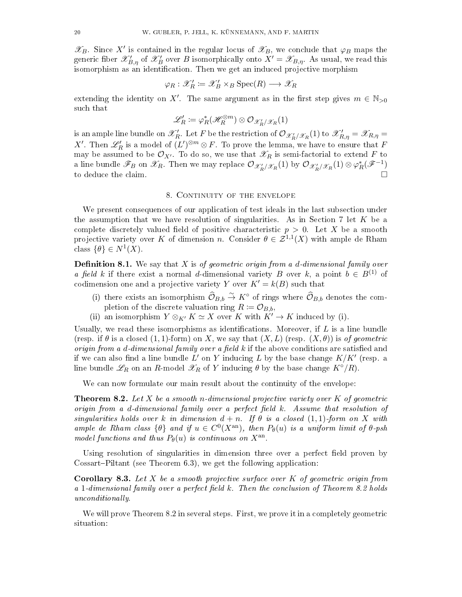$\mathscr{X}_B$ . Since X' is contained in the regular locus of  $\mathscr{X}_B$ , we conclude that  $\varphi_B$  maps the generic fiber  $\mathscr{X}'_{B,\eta}$  of  $\mathscr{X}'_B$  over  $B$  isomorphically onto  $X'=\mathscr{X}_{B,\eta}$ . As usual, we read this isomorphism as an identification. Then we get an induced projective morphism

$$
\varphi_R : \mathscr{X}'_R \coloneqq \mathscr{X}'_B \times_B \operatorname{Spec}(R) \longrightarrow \mathscr{X}_R
$$

extending the identity on X'. The same argument as in the first step gives  $m \in \mathbb{N}_{>0}$ such that

$$
\mathscr{L}'_R \coloneqq \varphi_R^*(\mathscr{H}_R^{\otimes m}) \otimes \mathcal{O}_{\mathscr{X}'_R/\mathscr{X}_R}(1)
$$

is an ample line bundle on  $\mathscr{X}'_R$ . Let F be the restriction of  $\mathcal{O}_{\mathscr{X}'_R/\mathscr{X}_R}(1)$  to  $\mathscr{X}'_{R,\eta}=\mathscr{X}_{R,\eta}=\emptyset$ X'. Then  $\mathscr{L}'_R$  is a model of  $(L')^{\otimes m} \otimes F$ . To prove the lemma, we have to ensure that F may be assumed to be  $\mathcal{O}_{X'}$ . To do so, we use that  $\mathscr{X}_R$  is semi-factorial to extend F to a line bundle  $\mathscr{F}_B$  on  $\mathscr{X}_R$ . Then we may replace  $\mathcal{O}_{\mathscr{X}'_R/\mathscr{X}_R}(1)$  by  $\mathcal{O}_{\mathscr{X}'_R/\mathscr{X}_R}(1)\otimes\varphi_R^*(\mathscr{F}^{-1})$ to deduce the claim.

# 8. CONTINUITY OF THE ENVELOPE

<span id="page-19-0"></span>We present consequences of our application of test ideals in the last subsection under the assumption that we have resolution of singularities. As in Section [7](#page-16-0) let  $K$  be a complete discretely valued field of positive characteristic  $p > 0$ . Let X be a smooth projective variety over K of dimension n. Consider  $\theta \in \mathcal{Z}^{1,1}(X)$  with ample de Rham class  $\{\theta\} \in N^1(X)$ .

<span id="page-19-2"></span>**Definition 8.1.** We say that X is of geometric origin from a d-dimensional family over a field k if there exist a normal d-dimensional variety B over k, a point  $b \in B^{(1)}$  of codimension one and a projective variety Y over  $K' = k(B)$  such that

- (i) there exists an isomorphism  $\widehat{\mathcal{O}}_{B,b} \stackrel{\sim}{\to} K^{\circ}$  of rings where  $\widehat{\mathcal{O}}_{B,b}$  denotes the completion of the discrete valuation ring  $R \coloneqq \mathcal{O}_{B,b}$ ,
- (ii) an isomorphism  $Y \otimes_{K'} K \simeq X$  over K with  $K' \to K$  induced by (i).

Usually, we read these isomorphisms as identifications. Moreover, if  $L$  is a line bundle (resp. if  $\theta$  is a closed  $(1, 1)$ -form) on X, we say that  $(X, L)$  (resp.  $(X, \theta)$ ) is of geometric origin from a d-dimensional family over a field  $k$  if the above conditions are satisfied and if we can also find a line bundle L' on Y inducing L by the base change  $K/K'$  (resp. a line bundle  $\mathscr{L}_R$  on an R-model  $\mathscr{L}_R$  of Y inducing  $\theta$  by the base change  $K^{\circ}/R$ ).

We can now formulate our main result about the continuity of the envelope:

<span id="page-19-1"></span>**Theorem 8.2.** Let X be a smooth n-dimensional projective variety over K of geometric origin from a d-dimensional family over a perfect field  $k$ . Assume that resolution of singularities holds over k in dimension  $d + n$ . If  $\theta$  is a closed  $(1, 1)$ -form on X with ample de Rham class  $\{\theta\}$  and if  $u \in C^{0}(X^{\text{an}})$ , then  $P_{\theta}(u)$  is a uniform limit of  $\theta$ -psh model functions and thus  $P_{\theta}(u)$  is continuous on  $X^{\text{an}}$ .

Using resolution of singularities in dimension three over a perfect field proven by Cossart–Piltant (see Theorem  $6.3$ ), we get the following application:

**Corollary 8.3.** Let  $X$  be a smooth projective surface over  $K$  of geometric origin from a 1-dimensional family over a perfect field  $k$ . Then the conclusion of Theorem [8.2](#page-19-1) holds unconditionally.

We will prove Theorem [8.2](#page-19-1) in several steps. First, we prove it in a completely geometric situation: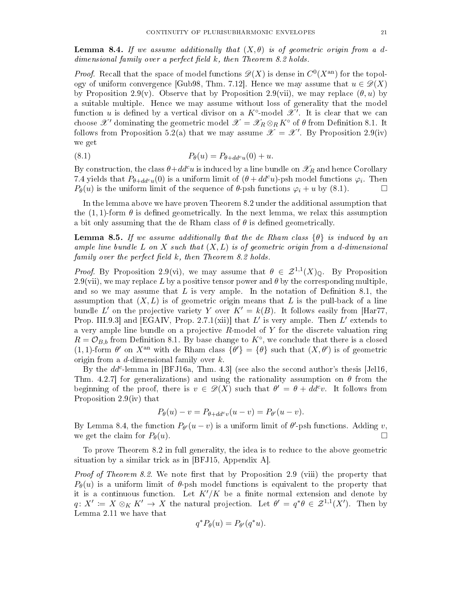<span id="page-20-1"></span>**Lemma 8.4.** If we assume additionally that  $(X, \theta)$  is of geometric origin from a ddimensional family over a perfect field  $k$ , then Theorem [8.2](#page-19-1) holds.

*Proof.* Recall that the space of model functions  $\mathscr{D}(X)$  is dense in  $C^0(X^{\text{an}})$  for the topol-ogy of uniform convergence [\[Gub98,](#page-30-23) Thm. 7.12]. Hence we may assume that  $u \in \mathscr{D}(X)$ by Proposition [2.9\(](#page-6-1)v). Observe that by Proposition 2.9(vii), we may replace  $(\theta, u)$  by a suitable multiple. Hence we may assume without loss of generality that the model function  $u$  is defined by a vertical divisor on a  $K^{\circ}$ -model  $\mathscr{X}^{\prime}$ . It is clear that we can choose X' dominating the geometric model  $\mathscr{X} = \mathscr{X}_R \otimes_R K^{\circ}$  of  $\theta$  from Definition [8.1.](#page-19-2) It follows from Proposition [5.2\(](#page-15-3)a) that we may assume  $\mathscr{X} = \mathscr{X}'$ . By Proposition [2.9\(](#page-6-1)iv) we get

<span id="page-20-0"></span>
$$
(8.1) \t\t P_{\theta}(u) = P_{\theta + dd^c u}(0) + u.
$$

By construction, the class  $\theta + dd^c u$  is induced by a line bundle on  $\mathscr{X}_R$  and hence Corollary [7.4](#page-18-1) yields that  $P_{\theta+dd^c u}(0)$  is a uniform limit of  $(\theta+dd^c u)$ -psh model functions  $\varphi_i$ . Then  $P_{\theta}(u)$  is the uniform limit of the sequence of  $\theta$ -psh functions  $\varphi_i + u$  by [\(8.1\)](#page-20-0).

In the lemma above we have proven Theorem [8.2](#page-19-1) under the additional assumption that the  $(1, 1)$ -form  $\theta$  is defined geometrically. In the next lemma, we relax this assumption a bit only assuming that the de Rham class of  $\theta$  is defined geometrically.

<span id="page-20-2"></span>**Lemma 8.5.** If we assume additionally that the de Rham class  $\{\theta\}$  is induced by an ample line bundle L on X such that  $(X, L)$  is of geometric origin from a d-dimensional family over the perfect field  $k$ , then Theorem [8.2](#page-19-1) holds.

*Proof.* By Proposition [2.9\(](#page-6-1)vi), we may assume that  $\theta \in \mathcal{Z}^{1,1}(X)_{\mathbb{Q}}$ . By Proposition [2.9\(](#page-6-1)vii), we may replace L by a positive tensor power and  $\theta$  by the corresponding multiple, and so we may assume that  $L$  is very ample. In the notation of Definition [8.1,](#page-19-2) the assumption that  $(X, L)$  is of geometric origin means that L is the pull-back of a line bundle L' on the projective variety Y over  $K' = k(B)$ . It follows easily from [\[Har77,](#page-30-22) Prop. III.9.3 and [\[EGAIV,](#page-30-10) Prop. 2.7.1(xii)] that  $L'$  is very ample. Then  $L'$  extends to a very ample line bundle on a projective  $R$ -model of  $Y$  for the discrete valuation ring  $R = \mathcal{O}_{B,b}$  from Definition [8.1.](#page-19-2) By base change to  $K^{\circ}$ , we conclude that there is a closed  $(1,1)$ -form  $\theta'$  on  $X^{\text{an}}$  with de Rham class  $\{\theta'\} = \{\theta\}$  such that  $(X,\theta')$  is of geometric origin from a d-dimensional family over k.

By the  $dd^c$ -lemma in [\[BFJ16a,](#page-29-4) Thm. 4.3] (see also the second author's thesis [\[Jel16,](#page-30-24) Thm. 4.2.7] for generalizations) and using the rationality assumption on  $\theta$  from the beginning of the proof, there is  $v \in \mathcal{D}(X)$  such that  $\theta' = \theta + dd^c v$ . It follows from Proposition [2.9\(](#page-6-1)iv) that

$$
P_{\theta}(u) - v = P_{\theta + dd^c v}(u - v) = P_{\theta'}(u - v).
$$

By Lemma [8.4,](#page-20-1) the function  $P_{\theta}(u - v)$  is a uniform limit of  $\theta'$ -psh functions. Adding v, we get the claim for  $P_{\theta}(u)$ .

To prove Theorem [8.2](#page-19-1) in full generality, the idea is to reduce to the above geometric situation by a similar trick as in [\[BFJ15,](#page-29-5) Appendix A].

*Proof of Theorem [8.2.](#page-19-1)* We note first that by Proposition [2.9](#page-6-1) (viii) the property that  $P_{\theta}(u)$  is a uniform limit of  $\theta$ -psh model functions is equivalent to the property that it is a continuous function. Let  $K'/K$  be a finite normal extension and denote by  $q: X' \coloneqq X \otimes_K K' \to X$  the natural projection. Let  $\theta' = q^* \theta \in \mathcal{Z}^{1,1}(X')$ . Then by Lemma [2.11](#page-7-3) we have that

$$
q^*P_{\theta}(u) = P_{\theta'}(q^*u).
$$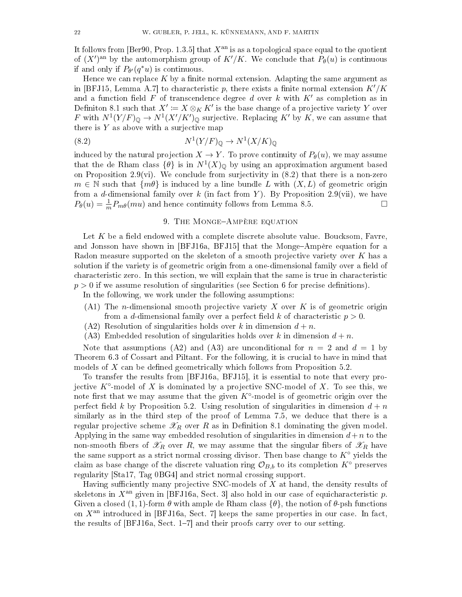It follows from  $\left[Ber90, Prop. 1.3.5\right]$  $\left[Ber90, Prop. 1.3.5\right]$  $\left[Ber90, Prop. 1.3.5\right]$  that  $X<sup>an</sup>$  is as a topological space equal to the quotient of  $(X')<sup>an</sup>$  by the automorphism group of  $K'/K$ . We conclude that  $P_{\theta}(u)$  is continuous if and only if  $P_{\theta}(q^*u)$  is continuous.

Hence we can replace  $K$  by a finite normal extension. Adapting the same argument as in [\[BFJ15,](#page-29-5) Lemma A.7] to characteristic p, there exists a finite normal extension  $K'/K$ and a function field F of transcendence degree d over k with  $K'$  as completion as in Definiton [8.1](#page-19-2) such that  $X' \coloneqq X \otimes_K K'$  is the base change of a projective variety  $Y$  over F with  $N^1(Y/F)_{\mathbb{Q}} \to N^1(X'/K')_{\mathbb{Q}}$  surjective. Replacing K' by K, we can assume that there is  $Y$  as above with a surjective map

$$
(8.2) \t\t N1(Y/F)Q \to N1(X/K)Q
$$

induced by the natural projection  $X \to Y$ . To prove continuity of  $P_{\theta}(u)$ , we may assume that the de Rham class  $\{\theta\}$  is in  $N^1(X)_{\mathbb{Q}}$  by using an approximation argument based on Proposition [2.9\(](#page-6-1)vi). We conclude from surjectivity in  $(8.2)$  that there is a non-zero  $m \in \mathbb{N}$  such that  $\{m\theta\}$  is induced by a line bundle L with  $(X, L)$  of geometric origin from a d-dimensional family over k (in fact from Y). By Proposition [2.9\(](#page-6-1)vii), we have  $P_{\theta}(u) = \frac{1}{m} P_{m\theta}(mu)$  and hence continuity follows from Lemma [8.5.](#page-20-2)

# <span id="page-21-1"></span>9. THE MONGE-AMPÈRE EQUATION

<span id="page-21-0"></span>Let  $K$  be a field endowed with a complete discrete absolute value. Boucksom, Favre, and Jonsson have shown in [\[BFJ16a,](#page-29-4) [BFJ15\]](#page-29-5) that the Monge-Ampère equation for a Radon measure supported on the skeleton of a smooth projective variety over  $K$  has a solution if the variety is of geometric origin from a one-dimensional family over a field of characteristic zero. In this section, we will explain that the same is true in characteristic  $p > 0$  if we assume resolution of singularities (see Section [6](#page-15-0) for precise definitions).

In the following, we work under the following assumptions:

- (A1) The *n*-dimensional smooth projective variety  $X$  over  $K$  is of geometric origin from a d-dimensional family over a perfect field k of characteristic  $p > 0$ .
- $(A2)$  Resolution of singularities holds over k in dimension  $d + n$ .
- (A3) Embedded resolution of singularities holds over k in dimension  $d + n$ .

Note that assumptions (A2) and (A3) are unconditional for  $n = 2$  and  $d = 1$  by Theorem [6.3](#page-16-4) of Cossart and Piltant. For the following, it is crucial to have in mind that models of  $X$  can be defined geometrically which follows from Proposition [5.2.](#page-15-3)

To transfer the results from [\[BFJ16a,](#page-29-4) [BFJ15\]](#page-29-5), it is essential to note that every projective  $K^{\circ}$ -model of X is dominated by a projective SNC-model of X. To see this, we note first that we may assume that the given  $K^{\circ}$ -model is of geometric origin over the perfect field k by Proposition [5.2.](#page-15-3) Using resolution of singularities in dimension  $d + n$ similarly as in the third step of the proof of Lemma [7.5,](#page-18-0) we deduce that there is a regular projective scheme  $\mathscr{X}_R$  over R as in Definition [8.1](#page-19-2) dominating the given model. Applying in the same way embedded resolution of singularities in dimension  $d+n$  to the non-smooth fibers of  $\mathscr{X}_R$  over R, we may assume that the singular fibers of  $\mathscr{X}_R$  have the same support as a strict normal crossing divisor. Then base change to  $K^{\circ}$  yields the claim as base change of the discrete valuation ring  $\mathcal{O}_{B,b}$  to its completion  $K^{\circ}$  preserves regularity [\[Sta17,](#page-31-7) [Tag 0BG4\]](http://stacks.math.columbia.edu/tag/0BG4) and strict normal crossing support.

Having sufficiently many projective SNC-models of  $X$  at hand, the density results of skeletons in  $X<sup>an</sup>$  given in [\[BFJ16a,](#page-29-4) Sect. 3] also hold in our case of equicharacteristic p. Given a closed (1, 1)-form  $\theta$  with ample de Rham class  $\{\theta\}$ , the notion of  $\theta$ -psh functions on  $X<sup>an</sup>$  introduced in [\[BFJ16a,](#page-29-4) Sect. 7] keeps the same properties in our case. In fact, the results of  $[BFJ16a, Sect. 1-7]$  $[BFJ16a, Sect. 1-7]$  and their proofs carry over to our setting.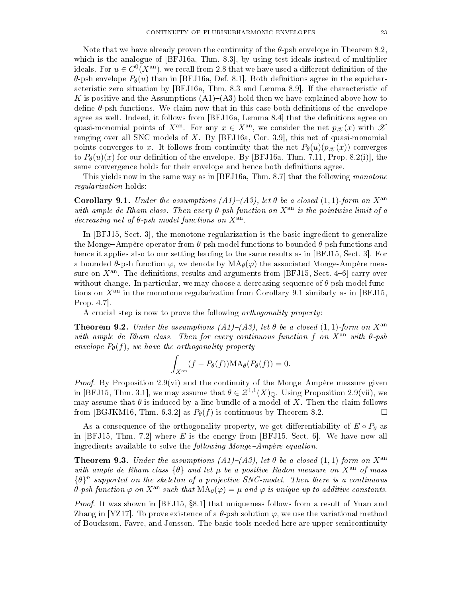Note that we have already proven the continuity of the  $\theta$ -psh envelope in Theorem [8.2,](#page-19-1) which is the analogue of [\[BFJ16a,](#page-29-4) Thm. 8.3], by using test ideals instead of multiplier ideals. For  $u\in C^0(X^{\rm an}),$  we recall from [2.8](#page-6-4) that we have used a different definition of the  $\theta$ -psh envelope  $P_{\theta}(u)$  than in [\[BFJ16a,](#page-29-4) Def. 8.1]. Both definitions agree in the equicharacteristic zero situation by [\[BFJ16a,](#page-29-4) Thm. 8.3 and Lemma 8.9]. If the characteristic of K is positive and the Assumptions  $(A1)-(A3)$  hold then we have explained above how to define  $\theta$ -psh functions. We claim now that in this case both definitions of the envelope agree as well. Indeed, it follows from [\[BFJ16a,](#page-29-4) Lemma 8.4] that the definitions agree on quasi-monomial points of  $X^{\text{an}}$ . For any  $x \in X^{\text{an}}$ , we consider the net  $p_{\mathscr{X}}(x)$  with  $\mathscr{X}$ ranging over all SNC models of  $X$ . By [\[BFJ16a,](#page-29-4) Cor. 3.9], this net of quasi-monomial points converges to x. It follows from continuity that the net  $P_{\theta}(u)(p_{\mathscr{X}}(x))$  converges to  $P_{\theta}(u)(x)$  for our definition of the envelope. By [\[BFJ16a,](#page-29-4) Thm. 7.11, Prop. 8.2(i)], the same convergence holds for their envelope and hence both definitions agree.

This yields now in the same way as in [\[BFJ16a,](#page-29-4) Thm. 8.7] that the following monotone regularization holds:

<span id="page-22-1"></span>Corollary 9.1. Under the assumptions  $(A1)$ – $(A3)$ , let  $\theta$  be a closed  $(1, 1)$ -form on  $X^{\text{an}}$ with ample de Rham class. Then every  $\theta$ -psh function on  $X^{\text{an}}$  is the pointwise limit of a decreasing net of  $\theta$ -psh model functions on  $X^{\text{an}}$ .

In [\[BFJ15,](#page-29-5) Sect. 3], the monotone regularization is the basic ingredient to generalize the Monge-Ampère operator from  $\theta$ -psh model functions to bounded  $\theta$ -psh functions and hence it applies also to our setting leading to the same results as in [\[BFJ15,](#page-29-5) Sect. 3]. For a bounded  $\theta$ -psh function  $\varphi$ , we denote by  $\text{MA}_{\theta}(\varphi)$  the associated Monge-Ampère measure on  $X<sup>an</sup>$ . The definitions, results and arguments from [\[BFJ15,](#page-29-5) Sect. 4-6] carry over without change. In particular, we may choose a decreasing sequence of  $\theta$ -psh model functions on  $X^{\text{an}}$  in the monotone regularization from Corollary [9.1](#page-22-1) similarly as in [\[BFJ15,](#page-29-5) Prop. 4.7].

A crucial step is now to prove the following orthogonality property:

**Theorem 9.2.** Under the assumptions  $(A1)-(A3)$ , let  $\theta$  be a closed  $(1, 1)$ -form on  $X^{\text{an}}$ with ample de Rham class. Then for every continuous function f on  $X^{\text{an}}$  with  $\theta$ -psh envelope  $P_{\theta}(f)$ , we have the orthogonality property

$$
\int_{X^{\rm an}} (f - P_{\theta}(f)) \mathrm{MA}_{\theta}(P_{\theta}(f)) = 0.
$$

*Proof.* By Proposition [2.9\(](#page-6-1)vi) and the continuity of the Monge-Ampère measure given in [\[BFJ15,](#page-29-5) Thm. 3.1], we may assume that  $\theta \in \mathcal{Z}^{1,1}(X)_{\mathbb{Q}}$ . Using Proposition [2.9\(](#page-6-1)vii), we may assume that  $\theta$  is induced by a line bundle of a model of X. Then the claim follows from [\[BGJKM16,](#page-29-6) Thm. 6.3.2] as  $P_{\theta}(f)$  is continuous by Theorem [8.2.](#page-19-1)

As a consequence of the orthogonality property, we get differentiability of  $E \circ P_{\theta}$  as in  $[BFJ15, Thm. 7.2]$  $[BFJ15, Thm. 7.2]$  where E is the energy from  $[BFJ15, Sect. 6]$ . We have now all ingredients available to solve the *following Monge-Ampère equation*.

<span id="page-22-0"></span>**Theorem 9.3.** Under the assumptions  $(A1)-(A3)$ , let  $\theta$  be a closed  $(1, 1)$ -form on  $X^{\text{an}}$ with ample de Rham class  $\{\theta\}$  and let  $\mu$  be a positive Radon measure on  $X^{\text{an}}$  of mass  $\{\theta\}^n$  supported on the skeleton of a projective SNC-model. Then there is a continuous θ-psh function  $\varphi$  on  $X^{\text{an}}$  such that  $\text{MA}_{\theta}(\varphi) = \mu$  and  $\varphi$  is unique up to additive constants.

*Proof.* It was shown in [\[BFJ15,](#page-29-5) §8.1] that uniqueness follows from a result of Yuan and Zhang in [\[YZ17\]](#page-31-3). To prove existence of a  $\theta$ -psh solution  $\varphi$ , we use the variational method of Boucksom, Favre, and Jonsson. The basic tools needed here are upper semicontinuity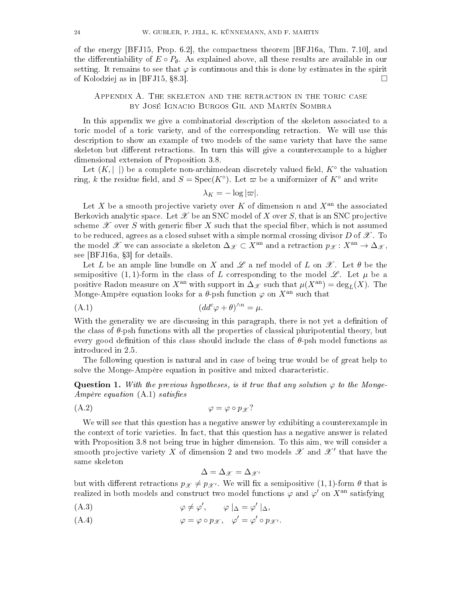of the energy [\[BFJ15,](#page-29-5) Prop. 6.2], the compactness theorem [\[BFJ16a,](#page-29-4) Thm. 7.10], and the differentiability of  $E \circ P_{\theta}$ . As explained above, all these results are available in our setting. It remains to see that  $\varphi$  is continuous and this is done by estimates in the spirit of Kolodziej as in [\[BFJ15,](#page-29-5) §8.3].

# <span id="page-23-0"></span>Appendix A. The skeleton and the retraction in the toric case by José Ignacio Burgos Gil and Martín Sombra

In this appendix we give a combinatorial description of the skeleton associated to a toric model of a toric variety, and of the corresponding retraction. We will use this description to show an example of two models of the same variety that have the same skeleton but different retractions. In turn this will give a counterexample to a higher dimensional extension of Proposition [3.8.](#page-9-0)

Let  $(K, \vert \ \vert)$  be a complete non-archimedean discretely valued field,  $K^{\circ}$  the valuation ring, k the residue field, and  $S = \text{Spec}(K^{\circ})$ . Let  $\varpi$  be a uniformizer of  $K^{\circ}$  and write

<span id="page-23-1"></span>
$$
\lambda_K = -\log|\varpi|.
$$

Let X be a smooth projective variety over K of dimension n and  $X<sup>an</sup>$  the associated Berkovich analytic space. Let  $\mathscr X$  be an SNC model of X over S, that is an SNC projective scheme  $\mathscr X$  over S with generic fiber X such that the special fiber, which is not assumed to be reduced, agrees as a closed subset with a simple normal crossing divisor  $D$  of  $\mathscr X$ . To the model X we can associate a skeleton  $\Delta_{\mathscr{X}} \subset X^{\text{an}}$  and a retraction  $p_{\mathscr{X}}: X^{\text{an}} \to \Delta_{\mathscr{X}}$ , see [\[BFJ16a,](#page-29-4) §3] for details.

Let L be an ample line bundle on X and  $\mathscr L$  a nef model of L on  $\mathscr X$ . Let  $\theta$  be the semipositive (1, 1)-form in the class of L corresponding to the model  $\mathscr{L}$ . Let  $\mu$  be a positive Radon measure on  $X^{\text{an}}$  with support in  $\Delta_{\mathscr{X}}$  such that  $\mu(X^{\text{an}}) = \text{deg}_L(X)$ . The Monge-Ampère equation looks for a  $\theta$ -psh function  $\varphi$  on  $X^{\text{an}}$  such that

$$
(A.1) \t\t (dd^c \varphi + \theta)^{\wedge n} = \mu.
$$

With the generality we are discussing in this paragraph, there is not yet a definition of the class of  $\theta$ -psh functions with all the properties of classical pluripotential theory, but every good definition of this class should include the class of  $\theta$ -psh model functions as introduced in [2.5.](#page-5-0)

The following question is natural and in case of being true would be of great help to solve the Monge-Ampère equation in positive and mixed characteristic.

<span id="page-23-2"></span>Question 1. With the previous hypotheses, is it true that any solution  $\varphi$  to the Monge-Ampère equation  $(A.1)$  satisfies

$$
\varphi = \varphi \circ p_{\mathscr{X}}?
$$

We will see that this question has a negative answer by exhibiting a counterexample in the context of toric varieties. In fact, that this question has a negative answer is related with Proposition [3.8](#page-9-0) not being true in higher dimension. To this aim, we will consider a smooth projective variety X of dimension 2 and two models  $\mathscr X$  and  $\mathscr X'$  that have the same skeleton

$$
\Delta = \Delta_{\mathscr{X}} = \Delta_{\mathscr{X}'}
$$

but with different retractions  $p_{\mathscr{X}} \neq p_{\mathscr{X}}$ . We will fix a semipositive  $(1, 1)$ -form  $\theta$  that is realized in both models and construct two model functions  $\varphi$  and  $\varphi'$  on  $X^{\mathrm{an}}$  satisfying

(A.3) 
$$
\varphi \neq \varphi', \qquad \varphi \mid_{\Delta} = \varphi' \mid_{\Delta},
$$

(A.4)  $\varphi = \varphi \circ p_{\mathscr{X}}, \quad \varphi' = \varphi' \circ p_{\mathscr{X}'}$ .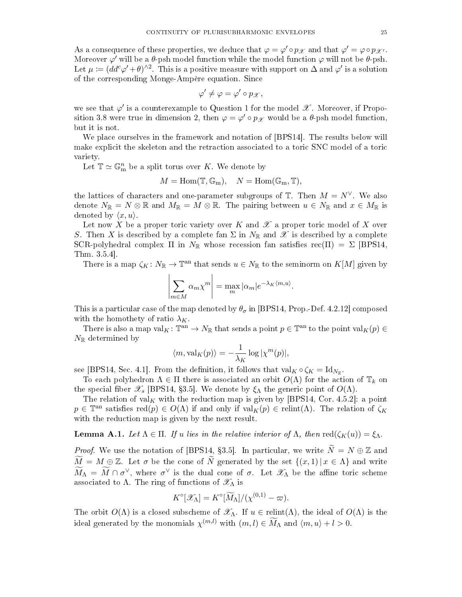As a consequence of these properties, we deduce that  $\varphi = \varphi' \circ p_{\mathscr{X}}$  and that  $\varphi' = \varphi \circ p_{\mathscr{X}'}$ . Moreover  $\varphi'$  will be a  $\theta$ -psh model function while the model function  $\varphi$  will not be  $\theta$ -psh. Let  $\mu \coloneqq (dd^c \varphi' + \theta)^{\wedge 2}$ . This is a positive measure with support on  $\Delta$  and  $\varphi'$  is a solution of the corresponding Monge-Ampère equation. Since

$$
\varphi'\neq\varphi=\varphi'\circ p_{\mathscr{X}},
$$

we see that  $\varphi'$  is a counterexample to Question [1](#page-23-2) for the model  $\mathscr X$  . Moreover, if Propo-sition [3.8](#page-9-0) were true in dimension 2, then  $\varphi = \varphi' \circ p_{\mathscr{X}}$  would be a  $\theta$ -psh model function, but it is not.

We place ourselves in the framework and notation of [\[BPS14\]](#page-29-18). The results below will make explicit the skeleton and the retraction associated to a toric SNC model of a toric variety.

Let  $\mathbb{T} \simeq \mathbb{G}_{\text{m}}^n$  be a split torus over K. We denote by

$$
M = \text{Hom}(\mathbb{T}, \mathbb{G}_{\text{m}}), \quad N = \text{Hom}(\mathbb{G}_{\text{m}}, \mathbb{T}),
$$

the lattices of characters and one-parameter subgroups of  $\mathbb T$ . Then  $M = N^{\vee}$ . We also denote  $N_{\mathbb{R}} = N \otimes \mathbb{R}$  and  $M_{\mathbb{R}} = M \otimes \mathbb{R}$ . The pairing between  $u \in N_{\mathbb{R}}$  and  $x \in M_{\mathbb{R}}$  is denoted by  $\langle x, u \rangle$ .

Let now X be a proper toric variety over K and  $\mathscr X$  a proper toric model of X over S. Then X is described by a complete fan  $\Sigma$  in  $N_{\mathbb{R}}$  and  $\mathscr{X}$  is described by a complete SCR-polyhedral complex Π in  $N_{\mathbb{R}}$  whose recession fan satisfies rec(Π) =  $\Sigma$  [\[BPS14,](#page-29-18) Thm. 3.5.4].

There is a map  $\zeta_K\colon N_{\mathbb{R}}\to{\mathbb{T}}^{\rm an}$  that sends  $u\in N_{\mathbb{R}}$  to the seminorm on  $K[M]$  given by

$$
\left|\sum_{m\in M} \alpha_m \chi^m\right| = \max_m |\alpha_m| e^{-\lambda_K \langle m, u \rangle}.
$$

This is a particular case of the map denoted by  $\theta_{\sigma}$  in [\[BPS14,](#page-29-18) Prop.-Def. 4.2.12] composed with the homothety of ratio  $\lambda_K$ .

There is also a map  $val_K: \mathbb{T}^{an} \to N_{\mathbb{R}}$  that sends a point  $p \in \mathbb{T}^{an}$  to the point  $val_K(p) \in$  $N_{\mathbb{R}}$  determined by

$$
\langle m, \text{val}_K(p) \rangle = -\frac{1}{\lambda_K} \log |\chi^m(p)|,
$$

see [\[BPS14,](#page-29-18) Sec. 4.1]. From the definition, it follows that  $val_K \circ \zeta_K = Id_{N_{\mathbb{R}}}$ .

To each polyhedron  $\Lambda \in \Pi$  there is associated an orbit  $O(\Lambda)$  for the action of  $\mathbb{T}_k$  on the special fiber  $\mathscr{X}_s$  [\[BPS14,](#page-29-18) §3.5]. We denote by  $\xi_{\Lambda}$  the generic point of  $O(\Lambda)$ .

The relation of val<sub>K</sub> with the reduction map is given by [\[BPS14,](#page-29-18) Cor. 4.5.2]: a point  $p \in \mathbb{T}^{an}$  satisfies  $\text{red}(p) \in O(\Lambda)$  if and only if  $\text{val}_K(p) \in \text{relint}(\Lambda)$ . The relation of  $\zeta_K$ with the reduction map is given by the next result.

<span id="page-24-0"></span>**Lemma A.1.** Let  $\Lambda \in \Pi$ . If u lies in the relative interior of  $\Lambda$ , then  $\text{red}(\zeta_K(u)) = \zeta_{\Lambda}$ .

*Proof.* We use the notation of [\[BPS14,](#page-29-18) §3.5]. In particular, we write  $\widetilde{N} = N \oplus \mathbb{Z}$  and  $\widetilde{M} = M \oplus \mathbb{Z}$ . Let  $\sigma$  be the cone of  $\widetilde{N}$  generated by the set  $\{(x,1) | x \in \Lambda\}$  and write  $\widetilde{M}_{\Lambda} = \widetilde{M} \cap \sigma^{\vee}$ , where  $\sigma^{\vee}$  is the dual cone of  $\sigma$ . Let  $\mathscr{X}_{\Lambda}$  be the affine toric scheme associated to  $\Lambda$ . The ring of functions of  $\mathscr{X}_{\Lambda}$  is

$$
K^{\circ}[\mathscr{X}_{\Lambda}] = K^{\circ}[\widetilde{M}_{\Lambda}]/(\chi^{(0,1)} - \varpi).
$$

The orbit  $O(\Lambda)$  is a closed subscheme of  $\mathscr{X}_{\Lambda}$ . If  $u \in \text{relint}(\Lambda)$ , the ideal of  $O(\Lambda)$  is the ideal generated by the monomials  $\chi^{(m,l)}$  with  $(m, l) \in \widetilde{M}_{\Lambda}$  and  $\langle m, u \rangle + l > 0$ .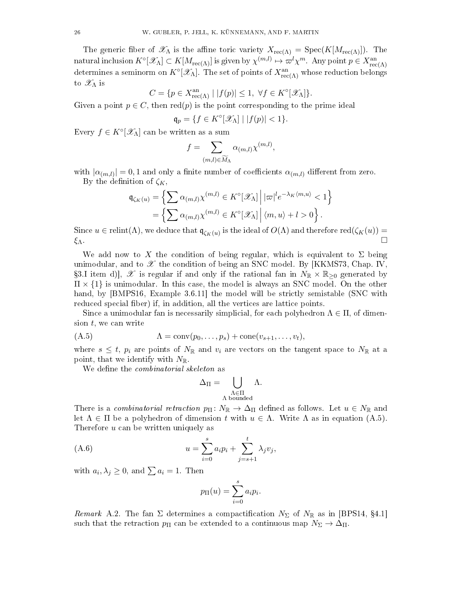The generic fiber of  $\mathscr{X}_{\Lambda}$  is the affine toric variety  $X_{\text{rec}(\Lambda)} = \text{Spec}(K[M_{\text{rec}(\Lambda)}])$ . The natural inclusion  $K^{\circ}[\mathscr{X}_{\Lambda}] \subset K[M_{\rm rec(\Lambda)}]$  is given by  $\chi^{(m,l)} \mapsto \varpi^l \chi^m$ . Any point  $p \in X_{\rm rec(\Lambda)}^{\rm an}$ determines a seminorm on  $K^{\circ}[\mathscr{X}_\Lambda]$ . The set of points of  $X^{\rm an}_{\rm rec(\Lambda)}$  whose reduction belongs to  $\mathscr{X}_{\Lambda}$  is

$$
C = \{ p \in X_{\text{rec}(\Lambda)}^{\text{an}} \mid |f(p)| \le 1, \ \forall f \in K^{\circ}[\mathscr{X}_{\Lambda}]\}.
$$

Given a point  $p \in C$ , then red(p) is the point corresponding to the prime ideal

$$
\mathfrak{q}_p = \{ f \in K^\circ[\mathcal{X}_\Lambda] \mid |f(p)| < 1 \}.
$$

Every  $f \in K^{\circ}[\mathscr{X}_{\Lambda}]$  can be written as a sum

$$
f = \sum_{(m,l) \in \widetilde{M}_{\Lambda}} \alpha_{(m,l)} \chi^{(m,l)},
$$

with  $|\alpha_{(m,l)}|=0,1$  and only a finite number of coefficients  $\alpha_{(m,l)}$  different from zero. By the definition of  $\zeta_K$ ,

$$
\mathfrak{q}_{\zeta_K(u)} = \left\{ \sum \alpha_{(m,l)} \chi^{(m,l)} \in K^{\circ}[\mathscr{X}_{\Lambda}] \, \middle| \, |\varpi|^{l} e^{-\lambda_K \langle m, u \rangle} < 1 \right\}
$$
\n
$$
= \left\{ \sum \alpha_{(m,l)} \chi^{(m,l)} \in K^{\circ}[\mathscr{X}_{\Lambda}] \, \middle| \, \langle m, u \rangle + l > 0 \right\}.
$$

Since  $u \in \text{relint}(\Lambda)$ , we deduce that  $\mathfrak{q}_{\zeta_K(u)}$  is the ideal of  $O(\Lambda)$  and therefore  $\text{red}(\zeta_K(u)) =$  $\xi_{\Lambda}$ .

We add now to X the condition of being regular, which is equivalent to  $\Sigma$  being unimodular, and to  $\mathscr X$  the condition of being an SNC model. By [\[KKMS73,](#page-30-25) Chap. IV, §3.I item d),  $\mathscr X$  is regular if and only if the rational fan in  $N_{\mathbb R}\times\mathbb R_{\geq0}$  generated by  $\Pi \times \{1\}$  is unimodular. In this case, the model is always an SNC model. On the other hand, by [\[BMPS16,](#page-29-19) Example 3.6.11] the model will be strictly semistable (SNC with reduced special fiber) if, in addition, all the vertices are lattice points.

Since a unimodular fan is necessarily simplicial, for each polyhedron  $\Lambda \in \Pi$ , of dimension  $t$ , we can write

$$
(A.5) \qquad \qquad \Lambda = \text{conv}(p_0, \ldots, p_s) + \text{cone}(v_{s+1}, \ldots, v_t),
$$

where  $s \leq t$ ,  $p_i$  are points of  $N_{\mathbb{R}}$  and  $v_i$  are vectors on the tangent space to  $N_{\mathbb{R}}$  at a point, that we identify with  $N_{\mathbb{R}}$ .

We define the *combinatorial skeleton* as

<span id="page-25-0"></span>
$$
\Delta_\Pi = \bigcup_{\substack{\Lambda \in \Pi \\ \Lambda \text{ bounded}}} \Lambda.
$$

There is a *combinatorial retraction*  $p_{\Pi} \colon N_{\mathbb{R}} \to \Delta_{\Pi}$  defined as follows. Let  $u \in N_{\mathbb{R}}$  and let  $\Lambda \in \Pi$  be a polyhedron of dimension t with  $u \in \Lambda$ . Write  $\Lambda$  as in equation [\(A.5\)](#page-25-0). Therefore u can be written uniquely as

(A.6) 
$$
u = \sum_{i=0}^{s} a_i p_i + \sum_{j=s+1}^{t} \lambda_j v_j,
$$

with  $a_i, \lambda_j \geq 0$ , and  $\sum a_i = 1$ . Then

<span id="page-25-1"></span>
$$
p_{\Pi}(u) = \sum_{i=0}^{s} a_i p_i.
$$

Remark A.2. The fan  $\Sigma$  determines a compactification  $N_{\Sigma}$  of  $N_{\mathbb{R}}$  as in [\[BPS14,](#page-29-18) §4.1] such that the retraction  $p_{\Pi}$  can be extended to a continuous map  $N_{\Sigma} \to \Delta_{\Pi}$ .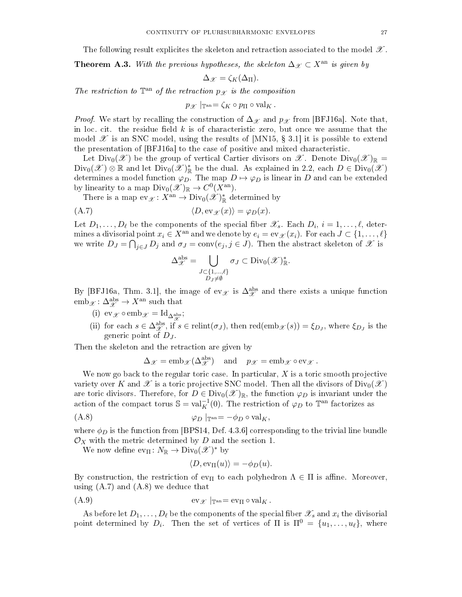The following result explicites the skeleton and retraction associated to the model  $\mathscr{X}$ .

**Theorem A.3.** With the previous hypotheses, the skeleton  $\Delta_{\mathscr{X}} \subset X^{\text{an}}$  is given by

$$
\Delta_{\mathscr{X}} = \zeta_K(\Delta_{\Pi}).
$$

The restriction to  $\mathbb{T}^{an}$  of the retraction  $p_{\mathscr{X}}$  is the composition

 $p_{\mathscr{X}}|_{\mathbb{T}^{\rm an}} = \zeta_K \circ p_{\Pi} \circ \mathrm{val}_K$ .

*Proof.* We start by recalling the construction of  $\Delta_{\mathscr{X}}$  and  $p_{\mathscr{X}}$  from [\[BFJ16a\]](#page-29-4). Note that, in loc. cit. the residue field  $k$  is of characteristic zero, but once we assume that the model  $\mathscr X$  is an SNC model, using the results of [\[MN15,](#page-31-8) § 3.1] it is possible to extend the presentation of [\[BFJ16a\]](#page-29-4) to the case of positive and mixed characteristic.

Let  $Div_0(\mathscr{X})$  be the group of vertical Cartier divisors on  $\mathscr{X}$ . Denote  $Div_0(\mathscr{X})_{\mathbb{R}} =$  $\text{Div}_0(\mathscr{X}) \otimes \mathbb{R}$  and let  $\text{Div}_0(\mathscr{X})^*_{\mathbb{R}}$  be the dual. As explained in [2.2,](#page-5-1) each  $D \in \text{Div}_0(\mathscr{X})$ determines a model function  $\varphi_D$ . The map  $D \mapsto \varphi_D$  is linear in D and can be extended by linearity to a map  $Div_0(\mathscr{X})_{\mathbb{R}} \to C^0(X^{\text{an}})$ .

There is a map  $ev_{\mathscr{X}} \colon X^{\rm an} \to \text{Div}_0(\mathscr{X})^*_{\mathbb{R}}$  determined by

$$
(A.7) \t\t \langle D, \text{ev}_{\mathscr{X}}(x) \rangle = \varphi_D(x).
$$

Let  $D_1, \ldots, D_\ell$  be the components of the special fiber  $\mathscr{X}_s$ . Each  $D_i, i = 1, \ldots, \ell$ , determines a divisorial point  $x_i \in X^{\text{an}}$  and we denote by  $e_i = \text{ev}_{\mathscr{X}}(x_i)$ . For each  $J \subset \{1, \ldots, \ell\}$ we write  $D_J = \bigcap_{j \in J} D_j$  and  $\sigma_J = \text{conv}(e_j, j \in J)$ . Then the abstract skeleton of  $\mathscr X$  is

<span id="page-26-0"></span>
$$
\Delta_{\mathscr{X}}^{\text{abs}} = \bigcup_{\substack{J \subset \{1,\ldots,\ell\} \\ D_J \neq \emptyset}} \sigma_J \subset \text{Div}_0(\mathscr{X})^*_{\mathbb{R}}.
$$

By [\[BFJ16a,](#page-29-4) Thm. 3.1], the image of ev $\chi$  is  $\Delta_{\mathscr{X}}^{abs}$  and there exists a unique function  $emb_{\mathscr{X}}: \Delta_{\mathscr{X}}^{abs} \to X^{an}$  such that

- <span id="page-26-3"></span>(i) ev  $\chi \circ \text{emb}_{\mathscr{X}} = \text{Id}_{\Delta_{\mathscr{X}}^{\text{abs}}};$
- <span id="page-26-4"></span>(ii) for each  $s \in \Delta_{\mathscr{X}}^{\text{abs}},$  if  $s \in \text{relint}(\sigma_J)$ , then  $\text{red}(\text{emb}_{\mathscr{X}}(s)) = \xi_{D_J}$ , where  $\xi_{D_J}$  is the generic point of  $D_J$ .

Then the skeleton and the retraction are given by

$$
\Delta_{\mathscr{X}} = \mathrm{emb}_{\mathscr{X}}(\Delta_{\mathscr{X}}^{\mathrm{abs}}) \quad \text{and} \quad p_{\mathscr{X}} = \mathrm{emb}_{\mathscr{X}} \circ \mathrm{ev}_{\mathscr{X}}.
$$

We now go back to the regular toric case. In particular,  $X$  is a toric smooth projective variety over K and  $\mathscr X$  is a toric projective SNC model. Then all the divisors of  $Div_0(\mathscr X)$ are toric divisors. Therefore, for  $D \in Div_0(\mathscr{X})_{\mathbb{R}}$ , the function  $\varphi_D$  is invariant under the action of the compact torus  $\mathbb{S} = \text{val}_{K}^{-1}(0)$ . The restriction of  $\varphi_D$  to  $\mathbb{T}^{\text{an}}$  factorizes as

$$
\varphi_D \mid_{\mathbb{T}^{\text{an}}} = -\phi_D \circ \text{val}_K,
$$

where  $\phi_D$  is the function from [\[BPS14,](#page-29-18) Def. 4.3.6] corresponding to the trivial line bundle  $\mathcal{O}_X$  with the metric determined by D and the section 1.

We now define  $ev_{\Pi} \colon N_{\mathbb{R}} \to \text{Div}_0(\mathscr{X})^*$  by

<span id="page-26-2"></span><span id="page-26-1"></span>
$$
\langle D, \operatorname{ev}_{\Pi}(u) \rangle = -\phi_D(u).
$$

By construction, the restriction of  $ev_{\Pi}$  to each polyhedron  $\Lambda \in \Pi$  is affine. Moreover, using  $(A.7)$  and  $(A.8)$  we deduce that

$$
(A.9) \t\t ev_{\mathscr{X}} |_{\mathbb{T}^{\mathrm{an}}} = ev_{\Pi} \circ val_{K}.
$$

As before let  $D_1, \ldots, D_\ell$  be the components of the special fiber  $\mathscr{X}_s$  and  $x_i$  the divisorial point determined by  $D_i$ . Then the set of vertices of  $\Pi$  is  $\Pi^0 = \{u_1, \ldots, u_\ell\}$ , where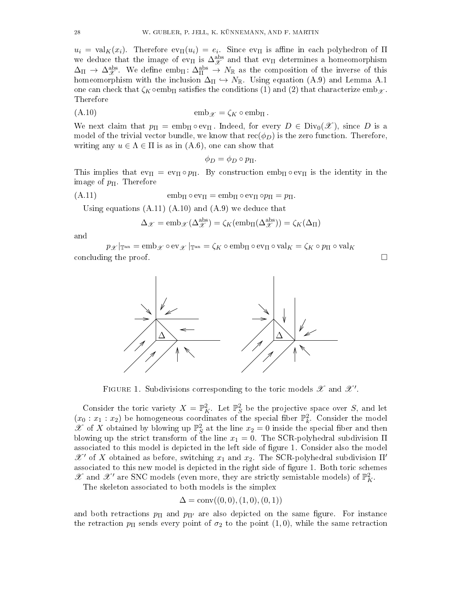$u_i = \text{val}_K(x_i)$ . Therefore  $\text{ev}_{\Pi}(u_i) = e_i$ . Since  $\text{ev}_{\Pi}$  is affine in each polyhedron of  $\Pi$ we deduce that the image of  $ev_{\Pi}$  is  $\Delta_{\mathscr{X}}^{\text{abs}}$  and that  $ev_{\Pi}$  determines a homeomorphism  $\Delta_{\Pi} \to \Delta_{\mathscr{X}}^{\text{abs}}$ . We define emb<sub> $\Pi$ </sub>:  $\Delta_{\Pi}^{\text{abs}} \to N_{\mathbb{R}}$  as the composition of the inverse of this homeomorphism with the inclusion  $\Delta_{\Pi} \hookrightarrow N_{\mathbb{R}}$ . Using equation [\(A.9\)](#page-26-2) and Lemma [A.1](#page-24-0) one can check that  $\zeta_K \circ \text{emb}_{\Pi}$  satisfies the conditions [\(1\)](#page-26-3) and [\(2\)](#page-26-4) that characterize emb $\chi$ . Therefore

$$
(A.10) \t\t\t\temb_{\mathscr{X}} = \zeta_K \circ emb_{\Pi}.
$$

We next claim that  $p_{\Pi} = \text{emb}_{\Pi} \circ \text{ev}_{\Pi}$ . Indeed, for every  $D \in Div_0(\mathcal{X})$ , since D is a model of the trivial vector bundle, we know that  $\operatorname{rec}(\phi_D)$  is the zero function. Therefore, writing any  $u \in \Lambda \in \Pi$  is as in  $(A.6)$ , one can show that

<span id="page-27-1"></span> $\phi_D = \phi_D \circ p_{\Pi}$ .

This implies that  $ev_{\Pi} = ev_{\Pi} \circ p_{\Pi}$ . By construction  $emb_{\Pi} \circ ev_{\Pi}$  is the identity in the image of  $p_{\Pi}$ . Therefore

$$
(A.11) \t\t\t\t\temb_{\Pi} \circ ev_{\Pi} = emb_{\Pi} \circ ev_{\Pi} op_{\Pi} = p_{\Pi}.
$$

Using equations  $(A.11)$   $(A.10)$  and  $(A.9)$  we deduce that

<span id="page-27-0"></span>
$$
\Delta_{\mathscr{X}} = \mathrm{emb}_{\mathscr{X}}(\Delta_{\mathscr{X}}^{\mathrm{abs}}) = \zeta_K(\mathrm{emb}_{\Pi}(\Delta_{\mathscr{X}}^{\mathrm{abs}})) = \zeta_K(\Delta_{\Pi})
$$

and

 $p_{\mathscr{X}}|_{\mathbb{T}^{\mathrm{an}}} = \mathrm{emb}_{\mathscr{X}} \circ \mathrm{ev}_{\mathscr{X}}|_{\mathbb{T}^{\mathrm{an}}} = \zeta_{K} \circ \mathrm{emb}_{\Pi} \circ \mathrm{ev}_{\Pi} \circ \mathrm{val}_{K} = \zeta_{K} \circ p_{\Pi} \circ \mathrm{val}_{K}$ concluding the proof.  $\Box$ 





<span id="page-27-2"></span>FIGURE 1. Subdivisions corresponding to the toric models  $\mathscr X$  and  $\mathscr X'.$ 

Consider the toric variety  $X = \mathbb{P}_{K}^{2}$ . Let  $\mathbb{P}_{S}^{2}$  be the projective space over S, and let  $(x_0 : x_1 : x_2)$  be homogeneous coordinates of the special fiber  $\mathbb{P}_k^2$ . Consider the model  $\mathscr X$  of X obtained by blowing up  $\mathbb{P}^2_S$  at the line  $x_2 = 0$  inside the special fiber and then blowing up the strict transform of the line  $x_1 = 0$ . The SCR-polyhedral subdivision  $\Pi$ associated to this model is depicted in the left side of figure [1.](#page-27-2) Consider also the model  $\mathscr{X}'$  of X obtained as before, switching  $x_1$  and  $x_2$ . The SCR-polyhedral subdivision Π' associated to this new model is depicted in the right side of figure [1.](#page-27-2) Both toric schemes  $\mathscr X$  and  $\mathscr X'$  are SNC models (even more, they are strictly semistable models) of  $\mathbb P^2_K$ .

The skeleton associated to both models is the simplex

$$
\Delta = \text{conv}((0,0),(1,0),(0,1))
$$

and both retractions  $p_{\Pi}$  and  $p_{\Pi'}$  are also depicted on the same figure. For instance the retraction  $p_{\Pi}$  sends every point of  $\sigma_2$  to the point  $(1, 0)$ , while the same retraction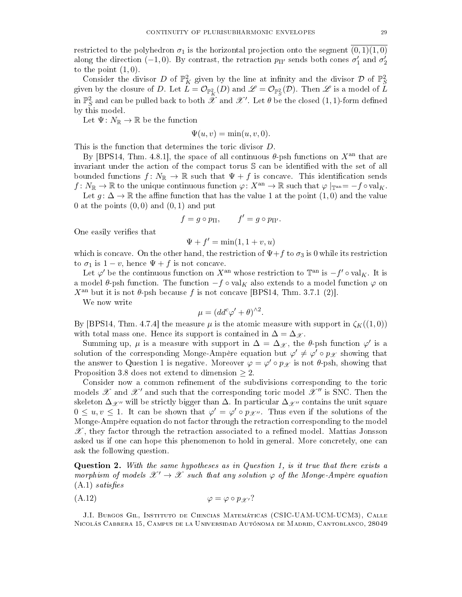restricted to the polyhedron  $\sigma_1$  is the horizontal projection onto the segment  $(0, 1)(1, 0)$ along the direction (−1,0). By contrast, the retraction  $p_{\Pi'}$  sends both cones  $\sigma'_1$  and  $\sigma'_2$ to the point  $(1, 0)$ .

Consider the divisor D of  $\mathbb{P}^2$  given by the line at infinity and the divisor D of  $\mathbb{P}^2$ given by the closure of D. Let  $L = \mathcal{O}_{\mathbb{P}^2_K}(D)$  and  $\mathscr{L} = \mathcal{O}_{\mathbb{P}^2_S}(\mathcal{D})$ . Then  $\mathscr{L}$  is a model of  $L$ in  $\mathbb{P}^2_S$  and can be pulled back to both  $\hat{\mathscr{X}}$  and  $\mathscr{X}'$ . Let  $\theta$  be the closed  $(1,1)$ -form defined by this model.

Let  $\Psi\colon N_{\mathbb{R}}\to\mathbb{R}$  be the function

$$
\Psi(u, v) = \min(u, v, 0).
$$

This is the function that determines the toric divisor D.

By [\[BPS14,](#page-29-18) Thm. 4.8.1], the space of all continuous  $\theta$ -psh functions on  $X^{\text{an}}$  that are invariant under the action of the compact torus  $S$  can be identified with the set of all bounded functions  $f\colon N_{\mathbb R}\to {\mathbb R}$  such that  $\Psi+f$  is concave. This identification sends  $f\colon N_{\mathbb{R}}\to{\mathbb{R}}$  to the unique continuous function  $\varphi\colon X^{\rm an}\to{\mathbb{R}}$  such that  $\varphi|_{\mathbb{T}^{\rm an}}=-f\circ {\rm val}_K$ . Let  $g: \Delta \to \mathbb{R}$  the affine function that has the value 1 at the point  $(1,0)$  and the value 0 at the points  $(0,0)$  and  $(0,1)$  and put

$$
f = g \circ p_{\Pi}, \qquad f' = g \circ p_{\Pi'}.
$$

One easily verifies that

$$
\Psi + f' = \min(1, 1 + v, u)
$$

which is concave. On the other hand, the restriction of  $\Psi + f$  to  $\sigma_3$  is 0 while its restriction to  $\sigma_1$  is  $1 - v$ , hence  $\Psi + f$  is not concave.

Let  $\varphi'$  be the continuous function on  $X^{\text{an}}$  whose restriction to  $\mathbb{T}^{\text{an}}$  is  $-f' \circ val_K$ . It is a model  $\theta$ -psh function. The function  $-f \circ val_{K}$  also extends to a model function  $\varphi$  on  $X^{\text{an}}$  but it is not  $\theta$ -psh because f is not concave [\[BPS14,](#page-29-18) Thm. 3.7.1 (2)].

We now write

$$
\mu = (dd^c \varphi' + \theta)^{\wedge 2}.
$$

By [\[BPS14,](#page-29-18) Thm. 4.7.4] the measure  $\mu$  is the atomic measure with support in  $\zeta_K((1,0))$ with total mass one. Hence its support is contained in  $\Delta = \Delta_{\mathscr{X}}$ .

Summing up,  $\mu$  is a measure with support in  $\Delta = \Delta_{\mathscr{X}}$ , the  $\theta$ -psh function  $\varphi'$  is a solution of the corresponding Monge-Ampère equation but  $\varphi' \neq \varphi' \circ p_{\mathscr{X}}$  showing that the answer to Question [1](#page-23-2) is negative. Moreover  $\varphi = \varphi' \circ p_{\mathscr{X}}$  is not  $\theta$ -psh, showing that Proposition [3.8](#page-9-0) does not extend to dimension  $\geq 2$ .

Consider now a common refinement of the subdivisions corresponding to the toric models  $\mathscr X$  and  $\mathscr X'$  and such that the corresponding toric model  $\mathscr X''$  is SNC. Then the skeleton  $\Delta_{\mathscr{X}''}$  will be strictly bigger than  $\Delta$ . In particular  $\Delta_{\mathscr{X}''}$  contains the unit square  $0 \le u, v \le 1$ . It can be shown that  $\varphi' = \varphi' \circ p_{\mathscr{X}''}$ . Thus even if the solutions of the Monge-Ampère equation do not factor through the retraction corresponding to the model  $\mathscr{X}$ , they factor through the retraction associated to a refined model. Mattias Jonsson asked us if one can hope this phenomenon to hold in general. More concretely, one can ask the following question.

Question 2. With the same hypotheses as in Question [1,](#page-23-2) is it true that there exists a morphism of models  $\mathcal{X}' \to \mathcal{X}$  such that any solution  $\varphi$  of the Monge-Ampère equation  $(A.1)$  satisfies

$$
(\text{A.12}) \qquad \qquad \varphi = \varphi \circ p_{\mathscr{X}'}?
$$

J.I. Burgos Gil, Instituto de Ciencias Matemáticas (CSIC-UAM-UCM-UCM3), Calle Nicolás Cabrera 15, Campus de la Universidad Autónoma de Madrid, Cantoblanco, 28049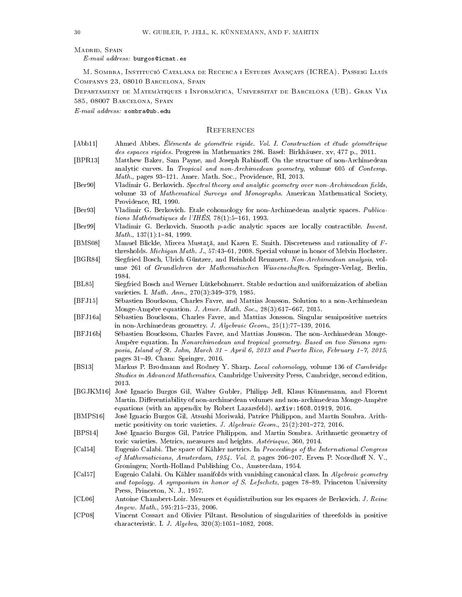#### MADRID, SPAIN

 $E\text{-}mail\ address: \text{burgos@icmat.}$ es

M. Sombra, Institució Catalana de Recerca i Estudis Avançats (ICREA). Passeig Lluís Companys 23, 08010 Barcelona, Spain

Departament de Matemàtiques i Informàtica, Universitat de Barcelona (UB). Gran Via 585, 08007 Barcelona, Spain

E-mail address: sombra@ub.edu

#### <span id="page-29-0"></span>**REFERENCES**

- <span id="page-29-13"></span>[Abb11] Ahmed Abbes. Éléments de géométrie rigide. Vol. I. Construction et étude géométrique des espaces rigides. Progress in Mathematics 286. Basel: Birkhäuser. xv, 477 p., 2011.
- <span id="page-29-14"></span>[BPR13] Matthew Baker, Sam Payne, and Joseph Rabinoff. On the structure of non-Archimedean analytic curves. In Tropical and non-Archimedean geometry, volume 605 of Contemp.  $Math.$ , pages 93-121. Amer. Math. Soc., Providence, RI, 2013.
- <span id="page-29-9"></span>[Ber90] Vladimir G. Berkovich. Spectral theory and analytic geometry over non-Archimedean fields, volume 33 of Mathematical Surveys and Monographs. American Mathematical Society, Providence, RI, 1990.
- <span id="page-29-10"></span>[Ber93] Vladimir G. Berkovich. Etale cohomology for non-Archimedean analytic spaces. Publications Mathématiques de l'IHÉS, 78(1):5-161, 1993.
- <span id="page-29-12"></span>[Ber99] Vladimir G. Berkovich. Smooth p-adic analytic spaces are locally contractible. Invent.  $Math., 137(1):1-84, 1999.$
- <span id="page-29-16"></span>[BMS08] Manuel Blickle, Mircea Mustată, and Karen E. Smith. Discreteness and rationality of Fthresholds. *Michigan Math. J.*, 57:43-61, 2008. Special volume in honor of Melvin Hochster.
- <span id="page-29-11"></span>[BGR84] Siegfried Bosch, Ulrich Güntzer, and Reinhold Remmert. Non-Archimedean analysis, volume 261 of Grundlehren der Mathematischen Wissenschaften. Springer-Verlag, Berlin, 1984.
- <span id="page-29-15"></span>[BL85] Siegfried Bosch and Werner Lütkebohmert. Stable reduction and uniformization of abelian varieties. I. *Math. Ann.*,  $270(3):349-379$ , 1985.
- <span id="page-29-5"></span>[BFJ15] Sébastien Boucksom, Charles Favre, and Mattias Jonsson. Solution to a non-Archimedean Monge-Ampère equation. J. Amer. Math. Soc.,  $28(3):617-667$ ,  $2015$ .
- <span id="page-29-4"></span>[BFJ16a] Sébastien Boucksom, Charles Favre, and Mattias Jonsson. Singular semipositive metrics in non-Archimedean geometry. J. Algebraic Geom.,  $25(1)$ :77-139, 2016.
- <span id="page-29-7"></span>[BFJ16b] Sébastien Boucksom, Charles Favre, and Mattias Jonsson. The non-Archimedean Monge-Ampère equation. In Nonarchimedean and tropical geometry. Based on two Simons symposia, Island of St. John, March 31 - April 6, 2013 and Puerto Rico, February 1-7, 2015, pages 3149. Cham: Springer, 2016.
- <span id="page-29-17"></span>[BS13] Markus P. Brodmann and Rodney Y. Sharp. Local cohomology, volume 136 of Cambridge Studies in Advanced Mathematics. Cambridge University Press, Cambridge, second edition, 2013.
- <span id="page-29-6"></span>[BGJKM16] José Ignacio Burgos Gil, Walter Gubler, Philipp Jell, Klaus Künnemann, and Florent Martin. Differentiability of non-archimedean volumes and non-archimedean Monge-Ampère equations (with an appendix by Robert Lazarsfeld). [arXiv:1608.01919,](http://arxiv.org/abs/1608.01919) 2016.
- <span id="page-29-19"></span>[BMPS16] José Ignacio Burgos Gil, Atsushi Moriwaki, Patrice Philippon, and Martín Sombra. Arithmetic positivity on toric varieties. J. Algebraic Geom.,  $25(2):201-272$ ,  $2016$ .
- <span id="page-29-18"></span>[BPS14] José Ignacio Burgos Gil, Patrice Philippon, and Martin Sombra. Arithmetic geometry of toric varieties. Metrics, measures and heights. Astérisque, 360, 2014.
- <span id="page-29-1"></span>[Cal54] Eugenio Calabi. The space of Kähler metrics. In Proceedings of the International Congress of Mathematicians, Amsterdam, 1954. Vol. 2, pages 206–207. Erven P. Noordhoff N. V., Groningen; North-Holland Publishing Co., Amsterdam, 1954.
- <span id="page-29-2"></span>[Cal57] Eugenio Calabi. On Kähler manifolds with vanishing canonical class. In Algebraic geometry and topology. A symposium in honor of S. Lefschetz, pages  $78-89$ . Princeton University Press, Princeton, N. J., 1957.
- <span id="page-29-3"></span>[CL06] Antoine Chambert-Loir. Mesures et équidistribution sur les espaces de Berkovich. J. Reine Angew. Math.,  $595:215-235$ ,  $2006$ .
- <span id="page-29-8"></span>[CP08] Vincent Cossart and Olivier Piltant. Resolution of singularities of threefolds in positive characteristic. I. J. Algebra,  $320(3):1051-1082$ , 2008.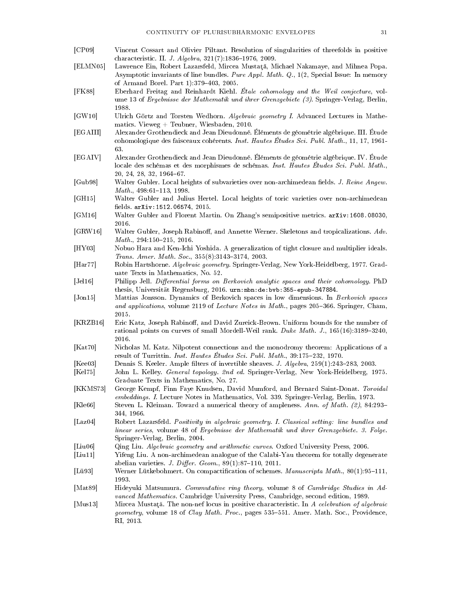<span id="page-30-24"></span><span id="page-30-23"></span><span id="page-30-22"></span><span id="page-30-21"></span><span id="page-30-16"></span><span id="page-30-14"></span><span id="page-30-13"></span><span id="page-30-12"></span><span id="page-30-11"></span><span id="page-30-10"></span><span id="page-30-7"></span><span id="page-30-4"></span><span id="page-30-2"></span>[CP09] Vincent Cossart and Olivier Piltant. Resolution of singularities of threefolds in positive characteristic. II. J. Algebra, 321(7):1836-1976, 2009. [ELMN05] Lawrence Ein, Robert Lazarsfeld, Mircea Mustaţă, Michael Nakamaye, and Mihnea Popa. Asymptotic invariants of line bundles. Pure Appl. Math. Q., 1(2, Special Issue: In memory of Armand Borel. Part 1):379-403, 2005. [FK88] Eberhard Freitag and Reinhardt Kiehl. Étale cohomology and the Weil conjecture, volume 13 of Ergebnisse der Mathematik und ihrer Grenzgebiete (3). Springer-Verlag, Berlin, 1988. [GW10] Ulrich Görtz and Torsten Wedhorn. Algebraic geometry I. Advanced Lectures in Mathematics. Vieweg + Teubner, Wiesbaden, 2010. [EGAIII] Alexander Grothendieck and Jean Dieudonné. Éléments de géométrie algébrique. III. Étude cohomologique des faisceaux cohérents. Inst. Hautes Études Sci. Publ. Math., 11, 17, 1961- 63. [EGAIV] Alexander Grothendieck and Jean Dieudonné. Éléments de géométrie algébrique. IV. Étude locale des schémas et des morphismes de schémas. Inst. Hautes Études Sci. Publ. Math., 20, 24, 28, 32, 1964-67. [Gub98] Walter Gubler. Local heights of subvarieties over non-archimedean fields. J. Reine Angew.  $Math., 498:61-113, 1998.$ [GH15] Walter Gubler and Julius Hertel. Local heights of toric varieties over non-archimedean fields. arXiv: 1512.06574, 2015. [GM16] Walter Gubler and Florent Martin. On Zhang's semipositive metrics. [arXiv:1608.08030,](http://arxiv.org/abs/1608.08030) 2016. [GRW16] Walter Gubler, Joseph Rabinoff, and Annette Werner. Skeletons and tropicalizations. Adv.  $Math., 294:150-215, 2016.$ [HY03] Nobuo Hara and Ken-Ichi Yoshida. A generalization of tight closure and multiplier ideals. Trans. Amer. Math. Soc.,  $355(8):3143-3174$ , 2003. [Har77] Robin Hartshorne. Algebraic geometry. Springer-Verlag, New York-Heidelberg, 1977. Graduate Texts in Mathematics, No. 52. [Jel16] Philipp Jell. Differential forms on Berkovich analytic spaces and their cohomology. PhD thesis, Universität Regensburg, 2016. [urn:nbn:de:bvb:355-epub-347884.](http://nbn-resolving.de/urn/resolver.pl?urn=urn:nbn:de:bvb:355-epub-347884) [Jon15] Mattias Jonsson. Dynamics of Berkovich spaces in low dimensions. In Berkovich spaces and applications, volume 2119 of Lecture Notes in Math., pages  $205-366$ . Springer, Cham, 2015. [KRZB16] Eric Katz, Joseph Rabinoff, and David Zureick-Brown. Uniform bounds for the number of rational points on curves of small Mordell-Weil rank. Duke Math. J.,  $165(16):3189-3240$ , 2016. [Kat70] Nicholas M. Katz. Nilpotent connections and the monodromy theorem: Applications of a result of Turrittin. Inst. Hautes Études Sci. Publ. Math., 39:175-232, 1970. [Kee03] Dennis S. Keeler. Ample filters of invertible sheaves. J. Algebra, 259(1):243-283, 2003. [Kel75] John L. Kelley. General topology. 2nd ed. Springer-Verlag, New York-Heidelberg, 1975. Graduate Texts in Mathematics, No. 27. [KKMS73] George Kempf, Finn Faye Knudsen, David Mumford, and Bernard Saint-Donat. Toroidal embeddings. I. Lecture Notes in Mathematics, Vol. 339. Springer-Verlag, Berlin, 1973. [Kle66] Steven L. Kleiman. Toward a numerical theory of ampleness. Ann. of Math. (2), 84:293 344, 1966. [Laz04] Robert Lazarsfeld. Positivity in algebraic geometry. I. Classical setting: line bundles and linear series, volume 48 of Ergebnisse der Mathematik und ihrer Grenzgebiete. 3. Folge. Springer-Verlag, Berlin, 2004. [Liu06] Qing Liu. Algebraic geometry and arithmetic curves. Oxford University Press, 2006. [Liu11] Yifeng Liu. A non-archimedean analogue of the Calabi-Yau theorem for totally degenerate abelian varieties. J. Differ. Geom.,  $89(1):87-110$ , 2011. [Lü93] Werner Lütkebohmert. On compactification of schemes. Manuscripta Math., 80(1):95-111, 1993. [Mat89] Hideyuki Matsumura. Commutative ring theory, volume 8 of Cambridge Studies in Advanced Mathematics. Cambridge University Press, Cambridge, second edition, 1989. [Mus13] Mircea Mustată. The non-nef locus in positive characteristic. In A celebration of algebraic geometry, volume 18 of Clay Math. Proc., pages 535–551. Amer. Math. Soc., Providence,

<span id="page-30-25"></span><span id="page-30-20"></span><span id="page-30-19"></span><span id="page-30-18"></span><span id="page-30-17"></span><span id="page-30-15"></span><span id="page-30-9"></span><span id="page-30-8"></span><span id="page-30-6"></span><span id="page-30-5"></span><span id="page-30-3"></span><span id="page-30-1"></span><span id="page-30-0"></span>RI, 2013.